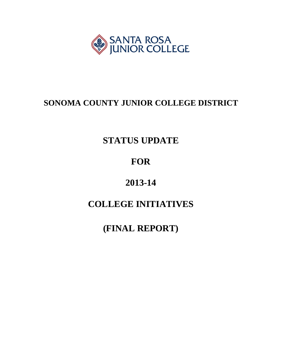

# **SONOMA COUNTY JUNIOR COLLEGE DISTRICT**

# **STATUS UPDATE**

# **FOR**

# **2013-14**

# **COLLEGE INITIATIVES**

**(FINAL REPORT)**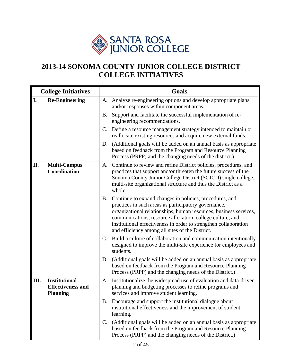

# **2013-14 SONOMA COUNTY JUNIOR COLLEGE DISTRICT COLLEGE INITIATIVES**

|                                                 | <b>College Initiatives</b> |             | <b>Goals</b>                                                                                                                                                                                                                                                                                                                                                             |
|-------------------------------------------------|----------------------------|-------------|--------------------------------------------------------------------------------------------------------------------------------------------------------------------------------------------------------------------------------------------------------------------------------------------------------------------------------------------------------------------------|
| I.                                              | <b>Re-Engineering</b>      | A.          | Analyze re-engineering options and develop appropriate plans<br>and/or responses within component areas.                                                                                                                                                                                                                                                                 |
|                                                 |                            | <b>B.</b>   | Support and facilitate the successful implementation of re-<br>engineering recommendations.                                                                                                                                                                                                                                                                              |
|                                                 |                            | C.          | Define a resource management strategy intended to maintain or<br>reallocate existing resources and acquire new external funds.                                                                                                                                                                                                                                           |
|                                                 |                            | D.          | (Additional goals will be added on an annual basis as appropriate<br>based on feedback from the Program and Resource Planning<br>Process (PRPP) and the changing needs of the district.)                                                                                                                                                                                 |
| П.<br>Coordination                              | <b>Multi-Campus</b>        |             | A. Continue to review and refine District policies, procedures, and<br>practices that support and/or threaten the future success of the<br>Sonoma County Junior College District (SCJCD) single college,<br>multi-site organizational structure and thus the District as a<br>whole.                                                                                     |
|                                                 |                            | B.          | Continue to expand changes in policies, procedures, and<br>practices in such areas as participatory governance,<br>organizational relationships, human resources, business services,<br>communications, resource allocation, college culture, and<br>institutional effectiveness in order to strengthen collaboration<br>and efficiency among all sites of the District. |
|                                                 |                            | C.          | Build a culture of collaboration and communication intentionally<br>designed to improve the multi-site experience for employees and<br>students.                                                                                                                                                                                                                         |
|                                                 |                            | D.          | (Additional goals will be added on an annual basis as appropriate<br>based on feedback from the Program and Resource Planning<br>Process (PRPP) and the changing needs of the District.)                                                                                                                                                                                 |
| <b>Institutional</b><br>III.<br><b>Planning</b> | <b>Effectiveness and</b>   | A.          | Institutionalize the widespread use of evaluation and data-driven<br>planning and budgeting processes to refine programs and<br>services and improve student learning.                                                                                                                                                                                                   |
|                                                 |                            | B.          | Encourage and support the institutional dialogue about<br>institutional effectiveness and the improvement of student<br>learning.                                                                                                                                                                                                                                        |
|                                                 |                            | $C_{\cdot}$ | (Additional goals will be added on an annual basis as appropriate<br>based on feedback from the Program and Resource Planning<br>Process (PRPP) and the changing needs of the District.)                                                                                                                                                                                 |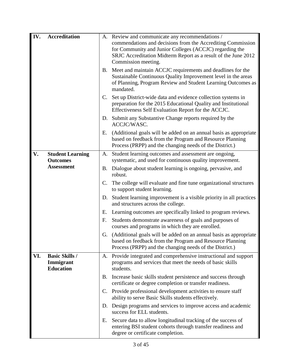| IV. | <b>Accreditation</b>                                   |             | A. Review and communicate any recommendations /<br>commendations and decisions from the Accrediting Commission<br>for Community and Junior Colleges (ACCJC) regarding the<br>SRJC Accreditation Midterm Report as a result of the June 2012<br>Commission meeting. |  |  |  |  |
|-----|--------------------------------------------------------|-------------|--------------------------------------------------------------------------------------------------------------------------------------------------------------------------------------------------------------------------------------------------------------------|--|--|--|--|
|     |                                                        | <b>B.</b>   | Meet and maintain ACCJC requirements and deadlines for the<br>Sustainable Continuous Quality Improvement level in the areas<br>of Planning, Program Review and Student Learning Outcomes as<br>mandated.                                                           |  |  |  |  |
|     |                                                        | $C_{\cdot}$ | Set up District-wide data and evidence collection systems in<br>preparation for the 2015 Educational Quality and Institutional<br>Effectiveness Self Evaluation Report for the ACCJC.                                                                              |  |  |  |  |
|     |                                                        | D.          | Submit any Substantive Change reports required by the<br>ACCJC/WASC.                                                                                                                                                                                               |  |  |  |  |
|     |                                                        | Е.          | (Additional goals will be added on an annual basis as appropriate<br>based on feedback from the Program and Resource Planning<br>Process (PRPP) and the changing needs of the District.)                                                                           |  |  |  |  |
| V.  | <b>Student Learning</b><br><b>Outcomes</b>             | A.          | Student learning outcomes and assessment are ongoing,<br>systematic, and used for continuous quality improvement.                                                                                                                                                  |  |  |  |  |
|     | <b>Assessment</b>                                      | B.          | Dialogue about student learning is ongoing, pervasive, and<br>robust.                                                                                                                                                                                              |  |  |  |  |
|     |                                                        | C.          | The college will evaluate and fine tune organizational structures<br>to support student learning.                                                                                                                                                                  |  |  |  |  |
|     |                                                        | D.          | Student learning improvement is a visible priority in all practices<br>and structures across the college.                                                                                                                                                          |  |  |  |  |
|     |                                                        | Е.          | Learning outcomes are specifically linked to program reviews.                                                                                                                                                                                                      |  |  |  |  |
|     |                                                        | F.          | Students demonstrate awareness of goals and purposes of<br>courses and programs in which they are enrolled.                                                                                                                                                        |  |  |  |  |
|     |                                                        | G.          | (Additional goals will be added on an annual basis as appropriate<br>based on feedback from the Program and Resource Planning<br>Process (PRPP) and the changing needs of the District.)                                                                           |  |  |  |  |
| VI. | <b>Basic Skills /</b><br>Immigrant<br><b>Education</b> | A.          | Provide integrated and comprehensive instructional and support<br>programs and services that meet the needs of basic skills<br>students.                                                                                                                           |  |  |  |  |
|     |                                                        | <b>B.</b>   | Increase basic skills student persistence and success through<br>certificate or degree completion or transfer readiness.                                                                                                                                           |  |  |  |  |
|     |                                                        | C.          | Provide professional development activities to ensure staff<br>ability to serve Basic Skills students effectively.                                                                                                                                                 |  |  |  |  |
|     |                                                        | D.          | Design programs and services to improve access and academic<br>success for ELL students.                                                                                                                                                                           |  |  |  |  |
|     |                                                        | Ε.          | Secure data to allow longitudinal tracking of the success of<br>entering BSI student cohorts through transfer readiness and<br>degree or certificate completion.                                                                                                   |  |  |  |  |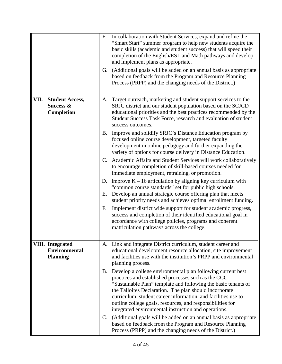|                                                                    | F.<br>G. | In collaboration with Student Services, expand and refine the<br>"Smart Start" summer program to help new students acquire the<br>basic skills (academic and student success) that will speed their<br>completion of the English/ESL and Math pathways and develop<br>and implement plans as appropriate.<br>(Additional goals will be added on an annual basis as appropriate<br>based on feedback from the Program and Resource Planning<br>Process (PRPP) and the changing needs of the District.) |
|--------------------------------------------------------------------|----------|-------------------------------------------------------------------------------------------------------------------------------------------------------------------------------------------------------------------------------------------------------------------------------------------------------------------------------------------------------------------------------------------------------------------------------------------------------------------------------------------------------|
| <b>Student Access,</b><br>VII.<br>Success &<br><b>Completion</b>   | A.       | Target outreach, marketing and student support services to the<br>SRJC district and our student population based on the SCJCD<br>educational priorities and the best practices recommended by the<br>Student Success Task Force, research and evaluation of student<br>success outcomes.                                                                                                                                                                                                              |
|                                                                    | B.       | Improve and solidify SRJC's Distance Education program by<br>focused online course development, targeted faculty<br>development in online pedagogy and further expanding the<br>variety of options for course delivery in Distance Education.                                                                                                                                                                                                                                                         |
|                                                                    |          | C. Academic Affairs and Student Services will work collaboratively<br>to encourage completion of skill-based courses needed for<br>immediate employment, retraining, or promotion.                                                                                                                                                                                                                                                                                                                    |
|                                                                    | D.<br>Е. | Improve $K - 16$ articulation by aligning key curriculum with<br>"common course standards" set for public high schools.<br>Develop an annual strategic course offering plan that meets<br>student priority needs and achieves optimal enrollment funding.                                                                                                                                                                                                                                             |
|                                                                    | F.       | Implement district wide support for student academic progress,<br>success and completion of their identified educational goal in<br>accordance with college policies, programs and coherent<br>matriculation pathways across the college.                                                                                                                                                                                                                                                             |
| <b>VIII.</b> Integrated<br><b>Environmental</b><br><b>Planning</b> | A.       | Link and integrate District curriculum, student career and<br>educational development resource allocation, site improvement<br>and facilities use with the institution's PRPP and environmental<br>planning process.                                                                                                                                                                                                                                                                                  |
|                                                                    | B.       | Develop a college environmental plan following current best<br>practices and established processes such as the CCC<br>"Sustainable Plan" template and following the basic tenants of<br>the Talloires Declaration. The plan should incorporate<br>curriculum, student career information, and facilities use to<br>outline college goals, resources, and responsibilities for<br>integrated environmental instruction and operations.                                                                 |
|                                                                    | C.       | (Additional goals will be added on an annual basis as appropriate<br>based on feedback from the Program and Resource Planning<br>Process (PRPP) and the changing needs of the District.)                                                                                                                                                                                                                                                                                                              |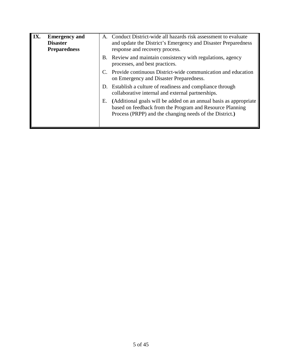| IX.<br><b>Emergency and</b><br><b>Disaster</b><br><b>Preparedness</b> |  | A.        | Conduct District-wide all hazards risk assessment to evaluate<br>and update the District's Emergency and Disaster Preparedness<br>response and recovery process.                         |
|-----------------------------------------------------------------------|--|-----------|------------------------------------------------------------------------------------------------------------------------------------------------------------------------------------------|
|                                                                       |  | <b>B.</b> | Review and maintain consistency with regulations, agency<br>processes, and best practices.                                                                                               |
|                                                                       |  |           | Provide continuous District-wide communication and education<br>on Emergency and Disaster Preparedness.                                                                                  |
|                                                                       |  |           | D. Establish a culture of readiness and compliance through<br>collaborative internal and external partnerships.                                                                          |
|                                                                       |  | Е.        | (Additional goals will be added on an annual basis as appropriate<br>based on feedback from the Program and Resource Planning<br>Process (PRPP) and the changing needs of the District.) |
|                                                                       |  |           |                                                                                                                                                                                          |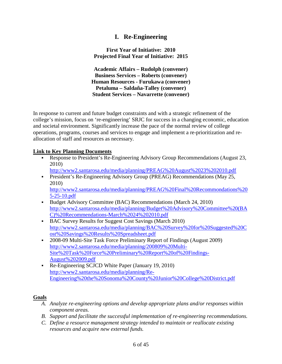# **I. Re-Engineering**

**First Year of Initiative: 2010 Projected Final Year of Initiative: 2015**

**Academic Affairs – Rudolph (convener) Business Services – Roberts (convener) Human Resources - Furukawa (convener) Petaluma – Saldaña-Talley (convener) Student Services – Navarrette (convener)**

In response to current and future budget constraints and with a strategic refinement of the college's mission, focus on 're-engineering' SRJC for success in a changing economic, education and societal environment. Significantly increase the pace of the normal review of college operations, programs, courses and services to engage and implement a re-prioritization and reallocation of staff and resources as necessary.

### **Link to Key Planning Documents**

- Response to President's Re-Engineering Advisory Group Recommendations (August 23, 2010)
	- <http://www2.santarosa.edu/media/planning/PREAG%20August%2023%202010.pdf>
- President's Re-Engineering Advisory Group (PREAG) Recommendations (May 25, 2010) [http://www2.santarosa.edu/media/planning/PREAG%20Final%20Recommondations%20](http://www2.santarosa.edu/media/planning/PREAG%20Final%20Recommondations%205-25-10.pdf)

[5-25-10.pdf](http://www2.santarosa.edu/media/planning/PREAG%20Final%20Recommondations%205-25-10.pdf)

- Budget Advisory Committee (BAC) Recommendations (March 24, 2010) [http://www2.santarosa.edu/media/planning/Budget%20Advisory%20Committee%20\(BA](http://www2.santarosa.edu/media/planning/Budget%20Advisory%20Committee%20(BAC)%20Recommendations-March%2024%202010.pdf) [C\)%20Recommendations-March%2024%202010.pdf](http://www2.santarosa.edu/media/planning/Budget%20Advisory%20Committee%20(BAC)%20Recommendations-March%2024%202010.pdf)
- BAC Survey Results for Suggest Cost Savings (March 2010) [http://www2.santarosa.edu/media/planning/BAC%20Survey%20for%20Suggested%20C](http://www2.santarosa.edu/media/planning/BAC%20Survey%20for%20Suggested%20Cost%20Savings%20Results%20Spreadsheet.pdf) [ost%20Savings%20Results%20Spreadsheet.pdf](http://www2.santarosa.edu/media/planning/BAC%20Survey%20for%20Suggested%20Cost%20Savings%20Results%20Spreadsheet.pdf)
- 2008-09 Multi-Site Task Force Preliminary Report of Findings (August 2009) [http://www2.santarosa.edu/media/planning/200809%20Multi-](http://www2.santarosa.edu/media/planning/200809%20Multi-Site%20Task%20Force%20Preliminary%20Report%20of%20Findings-August%202009.pdf)[Site%20Task%20Force%20Preliminary%20Report%20of%20Findings-](http://www2.santarosa.edu/media/planning/200809%20Multi-Site%20Task%20Force%20Preliminary%20Report%20of%20Findings-August%202009.pdf)[August%202009.pdf](http://www2.santarosa.edu/media/planning/200809%20Multi-Site%20Task%20Force%20Preliminary%20Report%20of%20Findings-August%202009.pdf)
- Re-Engineering SCJCD White Paper (January 19, 2010) [http://www2.santarosa.edu/media/planning/Re-](http://www2.santarosa.edu/media/planning/Re-Engineering%20the%20Sonoma%20County%20Junior%20College%20District.pdf)[Engineering%20the%20Sonoma%20County%20Junior%20College%20District.pdf](http://www2.santarosa.edu/media/planning/Re-Engineering%20the%20Sonoma%20County%20Junior%20College%20District.pdf)

#### **Goals**

- *A. Analyze re-engineering options and develop appropriate plans and/or responses within component areas.*
- *B. Support and facilitate the successful implementation of re-engineering recommendations.*
- *C. Define a resource management strategy intended to maintain or reallocate existing resources and acquire new external funds.*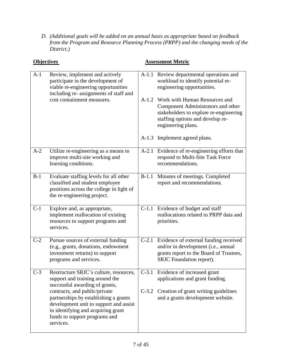*D. (Additional goals will be added on an annual basis as appropriate based on feedback from the Program and Resource Planning Process (PRPP) and the changing needs of the District.)*

|       | <b>Objectives</b>                                                                                                                                                                                    | <b>Assessment Metric</b> |                                                                                                                                                                               |  |
|-------|------------------------------------------------------------------------------------------------------------------------------------------------------------------------------------------------------|--------------------------|-------------------------------------------------------------------------------------------------------------------------------------------------------------------------------|--|
| $A-1$ | Review, implement and actively<br>participate in the development of<br>viable re-engineering opportunities<br>including re- assignments of staff and                                                 |                          | A-1.1 Review departmental operations and<br>workload to identify potential re-<br>engineering opportunities.                                                                  |  |
|       | cost containment measures.                                                                                                                                                                           |                          | A-1.2 Work with Human Resources and<br>Component Administrators and other<br>stakeholders to explore re-engineering<br>staffing options and develop re-<br>engineering plans. |  |
|       |                                                                                                                                                                                                      |                          | A-1.3 Implement agreed plans.                                                                                                                                                 |  |
| $A-2$ | Utilize re-engineering as a means to<br>improve multi-site working and<br>learning conditions.                                                                                                       |                          | A-2.1 Evidence of re-engineering efforts that<br>respond to Multi-Site Task Force<br>recommendations.                                                                         |  |
| $B-1$ | Evaluate staffing levels for all other<br>classified and student employee<br>positions across the college in light of<br>the re-engineering project.                                                 | $B-1.1$                  | Minutes of meetings. Completed<br>report and recommendations.                                                                                                                 |  |
| $C-1$ | Explore and, as appropriate,<br>implement reallocation of existing<br>resources to support programs and<br>services.                                                                                 |                          | C-1.1 Evidence of budget and staff<br>reallocations related to PRPP data and<br>priorities.                                                                                   |  |
| $C-2$ | Pursue sources of external funding<br>(e.g., grants, donations, endowment<br>investment returns) to support<br>programs and services.                                                                |                          | C-2.1 Evidence of external funding received<br>and/or in development (i.e., annual<br>grants report to the Board of Trustees,<br>SRJC Foundation report).                     |  |
| $C-3$ | Restructure SRJC's culture, resources,<br>support and training around the<br>successful awarding of grants,                                                                                          |                          | C-3.1 Evidence of increased grant<br>applications and grant funding.                                                                                                          |  |
|       | contracts, and public/private<br>partnerships by establishing a grants<br>development unit to support and assist<br>in identifying and acquiring grant<br>funds to support programs and<br>services. | $C-3.2$                  | Creation of grant writing guidelines<br>and a grants development website.                                                                                                     |  |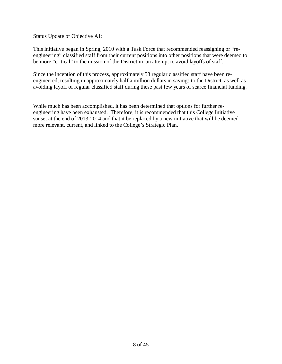Status Update of Objective A1:

This initiative began in Spring, 2010 with a Task Force that recommended reassigning or "reengineering" classified staff from their current positions into other positions that were deemed to be more "critical" to the mission of the District in an attempt to avoid layoffs of staff.

Since the inception of this process, approximately 53 regular classified staff have been reengineered, resulting in approximately half a million dollars in savings to the District as well as avoiding layoff of regular classified staff during these past few years of scarce financial funding.

While much has been accomplished, it has been determined that options for further reengineering have been exhausted. Therefore, it is recommended that this College Initiative sunset at the end of 2013-2014 and that it be replaced by a new initiative that will be deemed more relevant, current, and linked to the College's Strategic Plan.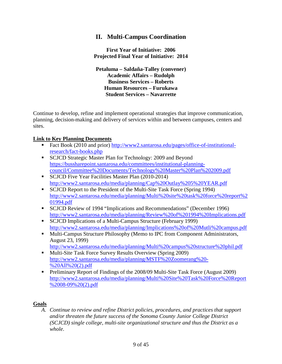# **II. Multi-Campus Coordination**

**First Year of Initiative: 2006 Projected Final Year of Initiative: 2014**

**Petaluma – Saldaña-Talley (convener) Academic Affairs – Rudolph Business Services – Roberts Human Resources – Furukawa Student Services – Navarrette**

Continue to develop, refine and implement operational strategies that improve communication, planning, decision-making and delivery of services within and between campuses, centers and sites.

#### **Link to Key Planning Documents**

- Fact Book (2010 and prior) [http://www2.santarosa.edu/pages/office-of-institutional](http://www2.santarosa.edu/pages/office-of-institutional-research/fact-books.php)[research/fact-books.php](http://www2.santarosa.edu/pages/office-of-institutional-research/fact-books.php)
- **SCJCD Strategic Master Plan for Technology: 2009 and Beyond** [https://bussharepoint.santarosa.edu/committees/institutional-planning](https://bussharepoint.santarosa.edu/committees/institutional-planning-council/Committee%20Documents/Technology%20Master%20Plan%202009.pdf)[council/Committee%20Documents/Technology%20Master%20Plan%202009.pdf](https://bussharepoint.santarosa.edu/committees/institutional-planning-council/Committee%20Documents/Technology%20Master%20Plan%202009.pdf)
- SCJCD Five Year Facilities Master Plan (2010-2014) <http://www2.santarosa.edu/media/planning/Cap%20Outlay%205%20YEAR.pdf>
- SCJCD Report to the President of the Multi-Site Task Force (Spring 1994) [http://www2.santarosa.edu/media/planning/Multi%20site%20task%20force%20report%2](http://www2.santarosa.edu/media/planning/Multi%20site%20task%20force%20report%201994.pdf) [01994.pdf](http://www2.santarosa.edu/media/planning/Multi%20site%20task%20force%20report%201994.pdf)
- SCJCD Review of 1994 "Implications and Recommendations" (December 1996) <http://www2.santarosa.edu/media/planning/Review%20of%201994%20Implications.pdf>
- SCJCD Implications of a Multi-Campus Structure (February 1999) <http://www2.santarosa.edu/media/planning/Implications%20of%20Mutli%20campus.pdf>
- **Multi-Campus Structure Philosophy (Memo to IPC from Component Administrators,** August 23, 1999)
- <http://www2.santarosa.edu/media/planning/Multi%20campus%20structure%20phil.pdf> **Multi-Site Task Force Survey Results Overview (Spring 2009)**
- [http://www2.santarosa.edu/media/planning/MSTF%20Zoomerang%20-](http://www2.santarosa.edu/media/planning/MSTF%20Zoomerang%20-%20All%20(2).pdf) [%20All%20\(2\).pdf](http://www2.santarosa.edu/media/planning/MSTF%20Zoomerang%20-%20All%20(2).pdf)
- Preliminary Report of Findings of the 2008/09 Multi-Site Task Force (August 2009) [http://www2.santarosa.edu/media/planning/Multi%20Site%20Task%20Force%20Report](http://www2.santarosa.edu/media/planning/Multi%20Site%20Task%20Force%20Report%2008-09%20(2).pdf) [%2008-09%20\(2\).pdf](http://www2.santarosa.edu/media/planning/Multi%20Site%20Task%20Force%20Report%2008-09%20(2).pdf)

#### **Goals**

*A. Continue to review and refine District policies, procedures, and practices that support and/or threaten the future success of the Sonoma County Junior College District (SCJCD) single college, multi-site organizational structure and thus the District as a whole.*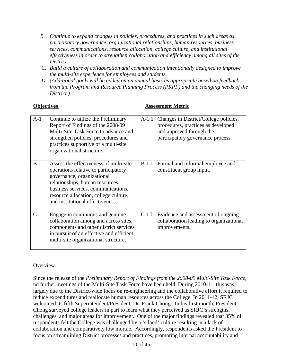- *B. Continue to expand changes in policies, procedures, and practices in such areas as participatory governance, organizational relationships, human resources, business services, communications, resource allocation, college culture, and institutional effectiveness in order to strengthen collaboration and efficiency among all sites of the District.*
- *C. Build a culture of collaboration and communication intentionally designed to improve the multi-site experience for employees and students.*
- *D. (Additional goals will be added on an annual basis as appropriate based on feedback from the Program and Resource Planning Process (PRPP) and the changing needs of the District.)*

| ODJECUVES                                                                                                                                                                                                                                                                   |         | Assessinem wieu ic                                                                                                                           |
|-----------------------------------------------------------------------------------------------------------------------------------------------------------------------------------------------------------------------------------------------------------------------------|---------|----------------------------------------------------------------------------------------------------------------------------------------------|
| Continue to utilize the Preliminary<br>$A-1$<br>Report of Findings of the 2008/09<br>Multi-Site Task Force to advance and<br>strengthen policies, procedures and<br>practices supportive of a multi-site<br>organizational structure.                                       | $A-1.1$ | Changes in District/College policies,<br>procedures, practices as developed<br>and approved through the<br>participatory governance process. |
| $B-1$<br>Assess the effectiveness of multi-site<br>operations relative to participatory<br>governance, organizational<br>relationships, human resources,<br>business services, communications,<br>resource allocation, college culture,<br>and institutional effectiveness. | $B-1.1$ | Formal and informal employee and<br>constituent group input.                                                                                 |
| $C-1$<br>Engage in continuous and genuine<br>collaboration among and across sites,<br>components and other district services<br>in pursuit of an effective and efficient<br>multi-site organizational structure.                                                            | $C-1.1$ | Evidence and assessment of ongoing<br>collaboration leading to organizational<br>improvements.                                               |
|                                                                                                                                                                                                                                                                             |         |                                                                                                                                              |

# **Objectives Assessment Metric**

### **Overview**

Since the release of the *Preliminary Report of Findings from the 2008-09 Multi-Site Task Force*, no further meetings of the Multi-Site Task Force have been held. During 2010-11, this was largely due to the District-wide focus on re-engineering and the collaborative effort it required to reduce expenditures and reallocate human resources across the College. In 2011-12, SRJC welcomed its fifth Superintendent/President, Dr. Frank Chong. In his first month, President Chong surveyed college leaders in part to learn what they perceived as SRJC's strengths, challenges, and major areas for improvement. One of the major findings revealed that 35% of respondents felt the College was challenged by a 'siloed' culture resulting in a lack of collaboration and comparatively low morale. Accordingly, respondents asked the President to focus on streamlining District processes and practices, promoting internal accountability and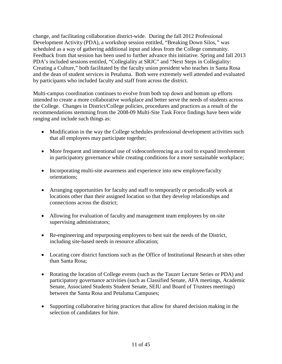change, and facilitating collaboration district-wide. During the fall 2012 Professional Development Activity (PDA), a workshop session entitled, "Breaking Down Silos,*"* was scheduled as a way of gathering additional input and ideas from the College community. Feedback from that session has been used to further advance this initiative. Spring and fall 2013 PDA's included sessions entitled, "Collegiality at SRJC" and "Next Steps in Collegiality: Creating a Culture," both facilitated by the faculty union president who teaches in Santa Rosa and the dean of student services in Petaluma. Both were extremely well attended and evaluated by participants who included faculty and staff from across the district.

Multi-campus coordination continues to evolve from both top down and bottom up efforts intended to create a more collaborative workplace and better serve the needs of students across the College. Changes in District/College policies, procedures and practices as a result of the recommendations stemming from the 2008-09 Multi-Site Task Force findings have been wide ranging and include such things as:

- Modification in the way the College schedules professional development activities such that all employees may participate together;
- More frequent and intentional use of videoconferencing as a tool to expand involvement in participatory governance while creating conditions for a more sustainable workplace;
- Incorporating multi-site awareness and experience into new employee/faculty orientations;
- Arranging opportunities for faculty and staff to temporarily or periodically work at locations other than their assigned location so that they develop relationships and connections across the district;
- Allowing for evaluation of faculty and management team employees by on-site supervising administrators;
- Re-engineering and repurposing employees to best suit the needs of the District, including site-based needs in resource allocation;
- Locating core district functions such as the Office of Institutional Research at sites other than Santa Rosa;
- Rotating the location of College events (such as the Tauzer Lecture Series or PDA) and participatory governance activities (such as Classified Senate, AFA meetings, Academic Senate, Associated Students Student Senate, SEIU and Board of Trustees meetings) between the Santa Rosa and Petaluma Campuses;
- Supporting collaborative hiring practices that allow for shared decision making in the selection of candidates for hire.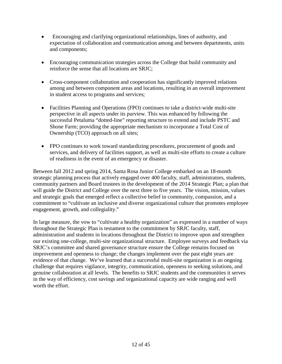- Encouraging and clarifying organizational relationships, lines of authority, and expectation of collaboration and communication among and between departments, units and components;
- Encouraging communication strategies across the College that build community and reinforce the sense that all locations are SRJC;
- Cross-component collaboration and cooperation has significantly improved relations among and between component areas and locations, resulting in an overall improvement in student access to programs and services;
- Facilities Planning and Operations (FPO) continues to take a district-wide multi-site perspective in all aspects under its purview. This was enhanced by following the successful Petaluma "dotted-line" reporting structure to extend and include PSTC and Shone Farm; providing the appropriate mechanism to incorporate a Total Cost of Ownership (TCO) approach on all sites;
- FPO continues to work toward standardizing procedures, procurement of goods and services, and delivery of facilities support, as well as multi-site efforts to create a culture of readiness in the event of an emergency or disaster.

Between fall 2012 and spring 2014, Santa Rosa Junior College embarked on an 18-month strategic planning process that actively engaged over 400 faculty, staff, administrators, students, community partners and Board trustees in the development of the 2014 Strategic Plan; a plan that will guide the District and College over the next three to five years. The vision, mission, values and strategic goals that emerged reflect a collective belief in community, compassion, and a commitment to "cultivate an inclusive and diverse organizational culture that promotes employee engagement, growth, and collegiality."

In large measure, the vow to "cultivate a healthy organization" as expressed in a number of ways throughout the Strategic Plan is testament to the commitment by SRJC faculty, staff, administration and students in locations throughout the District to improve upon and strengthen our existing one-college, multi-site organizational structure. Employee surveys and feedback via SRJC's committee and shared governance structure ensure the College remains focused on improvement and openness to change; the changes implement over the past eight years are evidence of that change. We've learned that a successful multi-site organization is an ongoing challenge that requires vigilance, integrity, communication, openness to seeking solutions, and genuine collaboration at all levels. The benefits to SRJC students and the communities it serves in the way of efficiency, cost savings and organizational capacity are wide ranging and well worth the effort.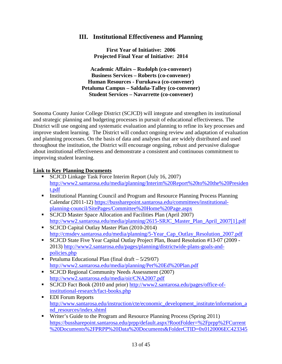# **III. Institutional Effectiveness and Planning**

**First Year of Initiative: 2006 Projected Final Year of Initiative: 2014**

**Academic Affairs – Rudolph (co-convener) Business Services – Roberts (co-convener) Human Resources - Furukawa (co-convener) Petaluma Campus – Saldaña-Talley (co-convener) Student Services – Navarrette (co-convener)**

Sonoma County Junior College District (SCJCD) will integrate and strengthen its institutional and strategic planning and budgeting processes in pursuit of educational effectiveness. The District will use ongoing and systematic evaluation and planning to refine its key processes and improve student learning. The District will conduct ongoing review and adaptation of evaluation and planning processes. On the basis of data and analyses that are widely distributed and used throughout the institution, the District will encourage ongoing, robust and pervasive dialogue about institutional effectiveness and demonstrate a consistent and continuous commitment to improving student learning.

### **Link to Key Planning Documents**

- **SCJCD Linkage Task Force Interim Report (July 16, 2007)** [http://www2.santarosa.edu/media/planning/Interim%20Report%20to%20the%20Presiden](http://www2.santarosa.edu/media/planning/Interim%20Report%20to%20the%20President.pdf) [t.pdf](http://www2.santarosa.edu/media/planning/Interim%20Report%20to%20the%20President.pdf)
- Institutional Planning Council and Program and Resource Planning Process Planning Calendar (2011-12) [https://bussharepoint.santarosa.edu/committees/institutional](https://bussharepoint.santarosa.edu/committees/institutional-planning-council/SitePages/Committee%20Home%20Page.aspx)[planning-council/SitePages/Committee%20Home%20Page.aspx](https://bussharepoint.santarosa.edu/committees/institutional-planning-council/SitePages/Committee%20Home%20Page.aspx)
- **SCJCD Master Space Allocation and Facilities Plan (April 2007)** [http://www2.santarosa.edu/media/planning/2615-SRJC\\_Master\\_Plan\\_April\\_2007\[1\].pdf](http://www2.santarosa.edu/media/planning/2615-SRJC_Master_Plan_April_2007%5b1%5d.pdf)
- SCJCD Capital Outlay Master Plan (2010-2014) [http://cmsdev.santarosa.edu/media/planning/5-Year\\_Cap\\_Outlay\\_Resolution\\_2007.pdf](http://cmsdev.santarosa.edu/media/planning/5-Year_Cap_Outlay_Resolution_2007.pdf)
- SCJCD State Five Year Capital Outlay Project Plan, Board Resolution #13-07 (2009 2013) [http://www2.santarosa.edu/pages/planning/districtwide-plans-goals-and](http://www2.santarosa.edu/pages/planning/districtwide-plans-goals-and-policies.php)[policies.php](http://www2.santarosa.edu/pages/planning/districtwide-plans-goals-and-policies.php)
- Petaluma Educational Plan (final draft  $-5/29/07$ ) <http://www2.santarosa.edu/media/planning/Pet%20Ed%20Plan.pdf>
- SCJCD Regional Community Needs Assessment (2007) <http://www2.santarosa.edu/media/oir/CNA2007.pdf>
- SCJCD Fact Book (2010 and prior) [http://www2.santarosa.edu/pages/office-of](http://www2.santarosa.edu/pages/office-of-institutional-research/fact-books.php)[institutional-research/fact-books.php](http://www2.santarosa.edu/pages/office-of-institutional-research/fact-books.php)
- EDI Forum Reports [http://www.santarosa.edu/instruction/cte/economic\\_development\\_institute/information\\_a](http://www.santarosa.edu/instruction/cte/economic_development_institute/information_and_resources/index.shtml) [nd\\_resources/index.shtml](http://www.santarosa.edu/instruction/cte/economic_development_institute/information_and_resources/index.shtml)
- **Writer's Guide to the Program and Resource Planning Process (Spring 2011)** [https://bussharepoint.santarosa.edu/prpp/default.aspx?RootFolder=%2Fprpp%2FCurrent](https://bussharepoint.santarosa.edu/prpp/default.aspx?RootFolder=%2Fprpp%2FCurrent%20Documents%2FPRPP%20Data%20Documents&FolderCTID=0x0120006EC4233452FDC74AA6F32FE42CB67BC2&View=%7b3C93FD21-A8E1-4D32-AF33-1026C2B6CC60%7d) [%20Documents%2FPRPP%20Data%20Documents&FolderCTID=0x0120006EC423345](https://bussharepoint.santarosa.edu/prpp/default.aspx?RootFolder=%2Fprpp%2FCurrent%20Documents%2FPRPP%20Data%20Documents&FolderCTID=0x0120006EC4233452FDC74AA6F32FE42CB67BC2&View=%7b3C93FD21-A8E1-4D32-AF33-1026C2B6CC60%7d)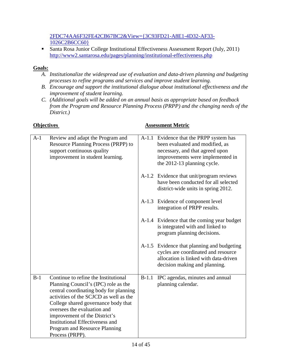### [2FDC74AA6F32FE42CB67BC2&View={3C93FD21-A8E1-4D32-AF33-](https://bussharepoint.santarosa.edu/prpp/default.aspx?RootFolder=%2Fprpp%2FCurrent%20Documents%2FPRPP%20Data%20Documents&FolderCTID=0x0120006EC4233452FDC74AA6F32FE42CB67BC2&View=%7b3C93FD21-A8E1-4D32-AF33-1026C2B6CC60%7d) [1026C2B6CC60}](https://bussharepoint.santarosa.edu/prpp/default.aspx?RootFolder=%2Fprpp%2FCurrent%20Documents%2FPRPP%20Data%20Documents&FolderCTID=0x0120006EC4233452FDC74AA6F32FE42CB67BC2&View=%7b3C93FD21-A8E1-4D32-AF33-1026C2B6CC60%7d)

 Santa Rosa Junior College Institutional Effectiveness Assessment Report (July, 2011) <http://www2.santarosa.edu/pages/planning/institutional-effectiveness.php>

## **Goals:**

- *A. Institutionalize the widespread use of evaluation and data-driven planning and budgeting processes to refine programs and services and improve student learning.*
- *B. Encourage and support the institutional dialogue about institutional effectiveness and the improvement of student learning.*
- *C. (Additional goals will be added on an annual basis as appropriate based on feedback from the Program and Resource Planning Process (PRPP) and the changing needs of the District.)*

| $A-1$ | Review and adapt the Program and<br>Resource Planning Process (PRPP) to<br>support continuous quality<br>improvement in student learning.                                                                                                                                                                                                                             |         | A-1.1 Evidence that the PRPP system has<br>been evaluated and modified, as<br>necessary, and that agreed upon<br>improvements were implemented in<br>the 2012-13 planning cycle. |
|-------|-----------------------------------------------------------------------------------------------------------------------------------------------------------------------------------------------------------------------------------------------------------------------------------------------------------------------------------------------------------------------|---------|----------------------------------------------------------------------------------------------------------------------------------------------------------------------------------|
|       |                                                                                                                                                                                                                                                                                                                                                                       |         | A-1.2 Evidence that unit/program reviews<br>have been conducted for all selected<br>district-wide units in spring 2012.                                                          |
|       |                                                                                                                                                                                                                                                                                                                                                                       |         | A-1.3 Evidence of component level<br>integration of PRPP results.                                                                                                                |
|       |                                                                                                                                                                                                                                                                                                                                                                       |         | A-1.4 Evidence that the coming year budget<br>is integrated with and linked to<br>program planning decisions.                                                                    |
|       |                                                                                                                                                                                                                                                                                                                                                                       |         | A-1.5 Evidence that planning and budgeting<br>cycles are coordinated and resource<br>allocation is linked with data-driven<br>decision making and planning.                      |
| $B-1$ | Continue to refine the Institutional<br>Planning Council's (IPC) role as the<br>central coordinating body for planning<br>activities of the SCJCD as well as the<br>College shared governance body that<br>oversees the evaluation and<br>improvement of the District's<br><b>Institutional Effectiveness and</b><br>Program and Resource Planning<br>Process (PRPP). | $B-1.1$ | IPC agendas, minutes and annual<br>planning calendar.                                                                                                                            |

### **Objectives Assessment Metric**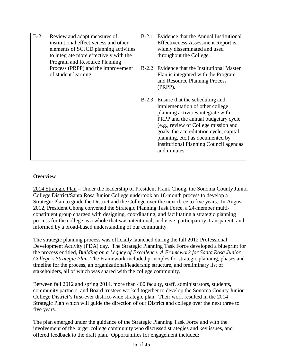| $B-2$ | Review and adapt measures of           | $B-2.1$ | Evidence that the Annual Institutional                                                                                                                                                                                                                                                                                                       |
|-------|----------------------------------------|---------|----------------------------------------------------------------------------------------------------------------------------------------------------------------------------------------------------------------------------------------------------------------------------------------------------------------------------------------------|
|       |                                        |         |                                                                                                                                                                                                                                                                                                                                              |
|       | institutional effectiveness and other  |         | <b>Effectiveness Assessment Report is</b>                                                                                                                                                                                                                                                                                                    |
|       | elements of SCJCD planning activities  |         | widely disseminated and used                                                                                                                                                                                                                                                                                                                 |
|       | to integrate more effectively with the |         | throughout the College.                                                                                                                                                                                                                                                                                                                      |
|       | Program and Resource Planning          |         |                                                                                                                                                                                                                                                                                                                                              |
|       | Process (PRPP) and the improvement     |         | B-2.2 Evidence that the Institutional Master                                                                                                                                                                                                                                                                                                 |
|       | of student learning.                   |         | Plan is integrated with the Program<br>and Resource Planning Process<br>(PRPP).                                                                                                                                                                                                                                                              |
|       |                                        |         | B-2.3 Ensure that the scheduling and<br>implementation of other college<br>planning activities integrate with<br>PRPP and the annual budgetary cycle<br>(e.g., review of College mission and<br>goals, the accreditation cycle, capital<br>planning, etc.) as documented by<br><b>Institutional Planning Council agendas</b><br>and minutes. |

### **Overview**

2014 Strategic Plan – Under the leadership of President Frank Chong, the Sonoma County Junior College District/Santa Rosa Junior College undertook an 18-month process to develop a Strategic Plan to guide the District and the College over the next three to five years. In August 2012, President Chong convened the Strategic Planning Task Force, a 24-member multiconstituent group charged with designing, coordinating, and facilitating a strategic planning process for the college as a whole that was intentional, inclusive, participatory, transparent, and informed by a broad-based understanding of our community.

The strategic planning process was officially launched during the fall 2012 Professional Development Activity (PDA) day. The Strategic Planning Task Force developed a blueprint for the process entitled, *Building on a Legacy of Excellence: A Framework for Santa Rosa Junior College's Strategic Plan*. The Framework included principles for strategic planning, phases and timeline for the process, an organizational/leadership structure, and preliminary list of stakeholders, all of which was shared with the college community.

Between fall 2012 and spring 2014, more than 400 faculty, staff, administrators, students, community partners, and Board trustees worked together to develop the Sonoma County Junior College District's first-ever district-wide strategic plan. Their work resulted in the 2014 Strategic Plan which will guide the direction of our District and college over the next three to five years.

The plan emerged under the guidance of the Strategic Planning Task Force and with the involvement of the larger college community who discussed strategies and key issues, and offered feedback to the draft plan. Opportunities for engagement included: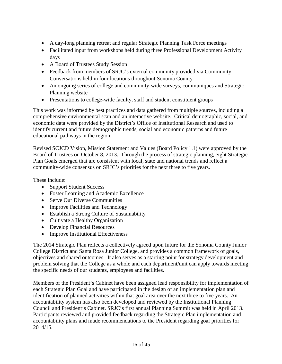- A day-long planning retreat and regular Strategic Planning Task Force meetings
- Facilitated input from workshops held during three Professional Development Activity days
- A Board of Trustees Study Session
- Feedback from members of SRJC's external community provided via Community Conversations held in four locations throughout Sonoma County
- An ongoing series of college and community-wide surveys, communiques and Strategic Planning website
- Presentations to college-wide faculty, staff and student constituent groups

This work was informed by best practices and data gathered from multiple sources, including a comprehensive environmental scan and an interactive website. Critical demographic, social, and economic data were provided by the District's Office of Institutional Research and used to identify current and future demographic trends, social and economic patterns and future educational pathways in the region.

Revised SCJCD Vision, Mission Statement and Values (Board Policy 1.1) were approved by the Board of Trustees on October 8, 2013. Through the process of strategic planning, eight Strategic Plan Goals emerged that are consistent with local, state and national trends and reflect a community-wide consensus on SRJC's priorities for the next three to five years.

These include:

- Support Student Success
- Foster Learning and Academic Excellence
- Serve Our Diverse Communities
- Improve Facilities and Technology
- Establish a Strong Culture of Sustainability
- Cultivate a Healthy Organization
- Develop Financial Resources
- Improve Institutional Effectiveness

The 2014 Strategic Plan reflects a collectively agreed upon future for the Sonoma County Junior College District and Santa Rosa Junior College, and provides a common framework of goals, objectives and shared outcomes. It also serves as a starting point for strategy development and problem solving that the College as a whole and each department/unit can apply towards meeting the specific needs of our students, employees and facilities.

Members of the President's Cabinet have been assigned lead responsibility for implementation of each Strategic Plan Goal and have participated in the design of an implementation plan and identification of planned activities within that goal area over the next three to five years. An accountability system has also been developed and reviewed by the Institutional Planning Council and President's Cabinet. SRJC's first annual Planning Summit was held in April 2013. Participants reviewed and provided feedback regarding the Strategic Plan implementation and accountability plans and made recommendations to the President regarding goal priorities for 2014/15.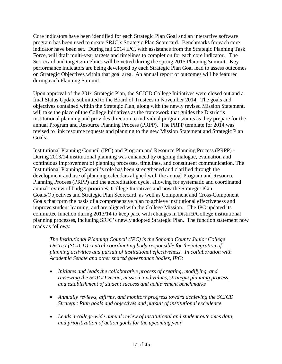Core indicators have been identified for each Strategic Plan Goal and an interactive software program has been used to create SRJC's Strategic Plan Scorecard. Benchmarks for each core indicator have been set. During fall 2014 IPC, with assistance from the Strategic Planning Task Force, will draft multi-year targets and timelines to completion for each core indicator. The Scorecard and targets/timelines will be vetted during the spring 2015 Planning Summit. Key performance indicators are being developed by each Strategic Plan Goal lead to assess outcomes on Strategic Objectives within that goal area. An annual report of outcomes will be featured during each Planning Summit.

Upon approval of the 2014 Strategic Plan, the SCJCD College Initiatives were closed out and a final Status Update submitted to the Board of Trustees in November 2014. The goals and objectives contained within the Strategic Plan, along with the newly revised Mission Statement, will take the place of the College Initiatives as the framework that guides the District's institutional planning and provides direction to individual programs/units as they prepare for the annual Program and Resource Planning Process (PRPP). The PRPP template for 2014 was revised to link resource requests and planning to the new Mission Statement and Strategic Plan Goals.

Institutional Planning Council (IPC) and Program and Resource Planning Process (PRPP) - During 2013/14 institutional planning was enhanced by ongoing dialogue, evaluation and continuous improvement of planning processes, timelines, and constituent communication. The Institutional Planning Council's role has been strengthened and clarified through the development and use of planning calendars aligned with the annual Program and Resource Planning Process (PRPP) and the accreditation cycle, allowing for systematic and coordinated annual review of budget priorities, College Initiatives and now the Strategic Plan Goals/Objectives and Strategic Plan Scorecard, as well as Component and Cross-Component Goals that form the basis of a comprehensive plan to achieve institutional effectiveness and improve student learning, and are aligned with the College Mission. The IPC updated its committee function during 2013/14 to keep pace with changes in District/College institutional planning processes, including SRJC's newly adopted Strategic Plan. The function statement now reads as follows:

*The Institutional Planning Council (IPC) is the Sonoma County Junior College District (SCJCD) central coordinating body responsible for the integration of planning activities and pursuit of institutional effectiveness. In collaboration with Academic Senate and other shared governance bodies, IPC:*

- *Initiates and leads the collaborative process of creating, modifying, and reviewing the SCJCD vision, mission, and values, strategic planning process, and establishment of student success and achievement benchmarks*
- *Annually reviews, affirms, and monitors progress toward achieving the SCJCD Strategic Plan goals and objectives and pursuit of institutional excellence*
- *Leads a college-wide annual review of institutional and student outcomes data, and prioritization of action goals for the upcoming year*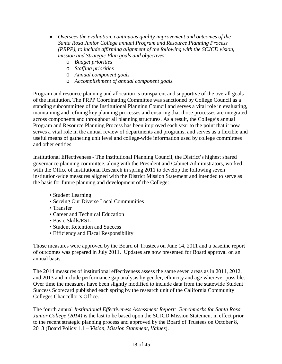- *Oversees the evaluation, continuous quality improvement and outcomes of the Santa Rosa Junior College annual Program and Resource Planning Process (PRPP), to include affirming alignment of the following with the SCJCD vision, mission and Strategic Plan goals and objectives:*
	- o *Budget priorities*
	- o *Staffing priorities*
	- o *Annual component goals*
	- o *Accomplishment of annual component goals.*

Program and resource planning and allocation is transparent and supportive of the overall goals of the institution. The PRPP Coordinating Committee was sanctioned by College Council as a standing subcommittee of the Institutional Planning Council and serves a vital role in evaluating, maintaining and refining key planning processes and ensuring that those processes are integrated across components and throughout all planning structures. As a result, the College's annual Program and Resource Planning Process has been improved each year to the point that it now serves a vital role in the annual review of departments and programs, and serves as a flexible and useful means of gathering unit level and college-wide information used by college committees and other entities.

Institutional Effectiveness - The Institutional Planning Council, the District's highest shared governance planning committee, along with the President and Cabinet Administrators, worked with the Office of Institutional Research in spring 2011 to develop the following seven institution-wide measures aligned with the District Mission Statement and intended to serve as the basis for future planning and development of the College:

- Student Learning
- Serving Our Diverse Local Communities
- Transfer
- Career and Technical Education
- Basic Skills/ESL
- Student Retention and Success
- Efficiency and Fiscal Responsibility

Those measures were approved by the Board of Trustees on June 14, 2011 and a baseline report of outcomes was prepared in July 2011. Updates are now presented for Board approval on an annual basis.

The 2014 measures of institutional effectiveness assess the same seven areas as in 2011, 2012, and 2013 and include performance gap analysis by gender, ethnicity and age wherever possible. Over time the measures have been slightly modified to include data from the statewide Student Success Scorecard published each spring by the research unit of the California Community Colleges Chancellor's Office.

The fourth annual *Institutional Effectiveness Assessment Report: Benchmarks for Santa Rosa Junior College (2014)* is the last to be based upon the SCJCD Mission Statement in effect prior to the recent strategic planning process and approved by the Board of Trustees on October 8, 2013 (Board Policy 1.1 – *Vision, Mission Statement, Values*).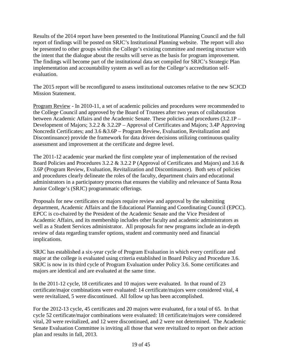Results of the 2014 report have been presented to the Institutional Planning Council and the full report of findings will be posted on SRJC's Institutional Planning website. The report will also be presented to other groups within the College's existing committee and meeting structure with the intent that the dialogue about the results will serve as the basis for program improvement. The findings will become part of the institutional data set compiled for SRJC's Strategic Plan implementation and accountability system as well as for the College's accreditation selfevaluation.

The 2015 report will be reconfigured to assess institutional outcomes relative to the new SCJCD Mission Statement.

Program Review - In 2010-11, a set of academic policies and procedures were recommended to the College Council and approved by the Board of Trustees after two years of collaboration between Academic Affairs and the Academic Senate. These policies and procedures (3.2.1P – Development of Majors; 3.2.2 & 3.2.2P – Approval of Certificates and Majors; 3.4P Approving Noncredit Certificates; and 3.6 &3.6P – Program Review, Evaluation, Revitalization and Discontinuance) provide the framework for data driven decisions utilizing continuous quality assessment and improvement at the certificate and degree level.

The 2011-12 academic year marked the first complete year of implementation of the revised Board Policies and Procedures 3.2.2 & 3.2.2 P (Approval of Certificates and Majors) and 3.6 & 3.6P (Program Review, Evaluation, Revitalization and Discontinuance). Both sets of policies and procedures clearly delineate the roles of the faculty, department chairs and educational administrators in a participatory process that ensures the viability and relevance of Santa Rosa Junior College's (SRJC) programmatic offerings.

Proposals for new certificates or majors require review and approval by the submitting department, Academic Affairs and the Educational Planning and Coordinating Council (EPCC). EPCC is co-chaired by the President of the Academic Senate and the Vice President of Academic Affairs, and its membership includes other faculty and academic administrators as well as a Student Services administrator. All proposals for new programs include an in-depth review of data regarding transfer options, student and community need and financial implications.

SRJC has established a six-year cycle of Program Evaluation in which every certificate and major at the college is evaluated using criteria established in Board Policy and Procedure 3.6. SRJC is now in its third cycle of Program Evaluation under Policy 3.6. Some certificates and majors are identical and are evaluated at the same time.

In the 2011-12 cycle, 18 certificates and 10 majors were evaluated. In that round of 23 certificate/major combinations were evaluated: 14 certificate/majors were considered vital, 4 were revitalized, 5 were discontinued. All follow up has been accomplished.

For the 2012-13 cycle, 45 certificates and 20 majors were evaluated, for a total of 65. In that cycle 52 certificate/major combinations were evaluated: 18 certificate/majors were considered vital, 20 were revitalized, and 12 were discontinued, and 2 were not determined. The Academic Senate Evaluation Committee is inviting all those that were revitalized to report on their action plan and results in fall, 2013.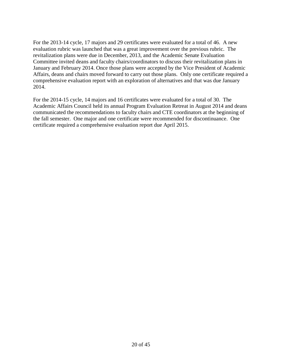For the 2013-14 cycle, 17 majors and 29 certificates were evaluated for a total of 46. A new evaluation rubric was launched that was a great improvement over the previous rubric. The revitalization plans were due in December, 2013, and the Academic Senate Evaluation Committee invited deans and faculty chairs/coordinators to discuss their revitalization plans in January and February 2014. Once those plans were accepted by the Vice President of Academic Affairs, deans and chairs moved forward to carry out those plans. Only one certificate required a comprehensive evaluation report with an exploration of alternatives and that was due January 2014.

For the 2014-15 cycle, 14 majors and 16 certificates were evaluated for a total of 30. The Academic Affairs Council held its annual Program Evaluation Retreat in August 2014 and deans communicated the recommendations to faculty chairs and CTE coordinators at the beginning of the fall semester. One major and one certificate were recommended for discontinuance. One certificate required a comprehensive evaluation report due April 2015.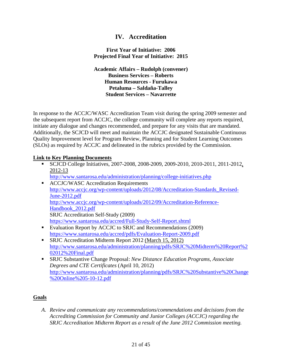## **IV. Accreditation**

#### **First Year of Initiative: 2006 Projected Final Year of Initiative: 2015**

**Academic Affairs – Rudolph (convener) Business Services – Roberts Human Resources - Furukawa Petaluma – Saldaña-Talley Student Services – Navarrette**

In response to the ACCJC/WASC Accreditation Team visit during the spring 2009 semester and the subsequent report from ACCJC, the college community will complete any reports required, initiate any dialogue and changes recommended, and prepare for any visits that are mandated. Additionally, the SCJCD will meet and maintain the ACCJC designated Sustainable Continuous Quality Improvement level for Program Review, Planning and for Student Learning Outcomes (SLOs) as required by ACCJC and delineated in the rubrics provided by the Commission.

#### **Link to Key Planning Documents**

- SCJCD College Initiatives, 2007-2008, 2008-2009, 2009-2010, 2010-2011, 2011-2012, 2012-13 <http://www.santarosa.edu/administration/planning/college-initiatives.php> **ACCJC/WASC Accreditation Requirements** [http://www.accjc.org/wp-content/uploads/2012/08/Accreditation-Standards\\_Revised-](http://www.accjc.org/wp-content/uploads/2012/08/Accreditation-Standards_Revised-June-2012.pdf)[June-2012.pdf](http://www.accjc.org/wp-content/uploads/2012/08/Accreditation-Standards_Revised-June-2012.pdf) [http://www.accjc.org/wp-content/uploads/2012/09/Accreditation-Reference-](http://www.accjc.org/wp-content/uploads/2012/09/Accreditation-Reference-Handbook_2012.pdf)[Handbook\\_2012.pdf](http://www.accjc.org/wp-content/uploads/2012/09/Accreditation-Reference-Handbook_2012.pdf) SRJC Accreditation Self-Study (2009) <https://www.santarosa.edu/accred/Full-Study-Self-Report.shtml> Evaluation Report by ACCJC to SRJC and Recommendations (2009)
- <https://www.santarosa.edu/accred/pdfs/Evaluation-Report-2009.pdf>
- **SRJC** Accreditation Midterm Report 2012 (March 15, 2012) [http://www.santarosa.edu/administration/planning/pdfs/SRJC%20Midterm%20Report%2](http://www.santarosa.edu/administration/planning/pdfs/SRJC%20Midterm%20Report%202012%20Final.pdf) [02012%20Final.pdf](http://www.santarosa.edu/administration/planning/pdfs/SRJC%20Midterm%20Report%202012%20Final.pdf)
- SRJC Substantive Change Proposal: *New Distance Education Programs, Associate Degrees and CTE Certificates* (April 10, 2012) [http://www.santarosa.edu/administration/planning/pdfs/SRJC%20Substantive%20Change](http://www.santarosa.edu/administration/planning/pdfs/SRJC%20Substantive%20Change%20Online%205-10-12.pdf) [%20Online%205-10-12.pdf](http://www.santarosa.edu/administration/planning/pdfs/SRJC%20Substantive%20Change%20Online%205-10-12.pdf)

#### **Goals**

*A. Review and communicate any recommendations/commendations and decisions from the Accrediting Commission for Community and Junior Colleges (ACCJC) regarding the SRJC Accreditation Midterm Report as a result of the June 2012 Commission meeting.*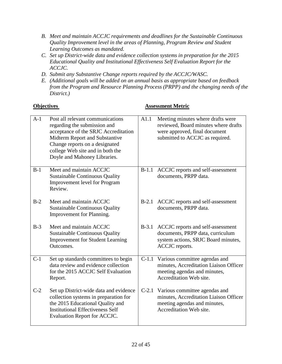- *B. Meet and maintain ACCJC requirements and deadlines for the Sustainable Continuous Quality Improvement level in the areas of Planning, Program Review and Student Learning Outcomes as mandated.*
- *C. Set up District-wide data and evidence collection systems in preparation for the 2015 Educational Quality and Institutional Effectiveness Self Evaluation Report for the ACCJC.*
- *D. Submit any Substantive Change reports required by the ACCJC/WASC.*
- *E. (Additional goals will be added on an annual basis as appropriate based on feedback from the Program and Resource Planning Process (PRPP) and the changing needs of the District.)*

| $A-1$ | Post all relevant communications<br>regarding the submission and<br>acceptance of the SRJC Accreditation<br>Midterm Report and Substantive<br>Change reports on a designated<br>college Web site and in both the<br>Doyle and Mahoney Libraries. | A1.1    | Meeting minutes where drafts were<br>reviewed, Board minutes where drafts<br>were approved, final document<br>submitted to ACCJC as required. |
|-------|--------------------------------------------------------------------------------------------------------------------------------------------------------------------------------------------------------------------------------------------------|---------|-----------------------------------------------------------------------------------------------------------------------------------------------|
| $B-1$ | Meet and maintain ACCJC<br><b>Sustainable Continuous Quality</b><br><b>Improvement level for Program</b><br>Review.                                                                                                                              | $B-1.1$ | ACCJC reports and self-assessment<br>documents, PRPP data.                                                                                    |
| $B-2$ | Meet and maintain ACCJC<br><b>Sustainable Continuous Quality</b><br>Improvement for Planning.                                                                                                                                                    | $B-2.1$ | ACCJC reports and self-assessment<br>documents, PRPP data.                                                                                    |
| $B-3$ | Meet and maintain ACCJC<br><b>Sustainable Continuous Quality</b><br><b>Improvement for Student Learning</b><br>Outcomes.                                                                                                                         | $B-3.1$ | ACCJC reports and self-assessment<br>documents, PRPP data, curriculum<br>system actions, SRJC Board minutes,<br>ACCJC reports.                |
| $C-1$ | Set up standards committees to begin<br>data review and evidence collection<br>for the 2015 ACCJC Self Evaluation<br>Report.                                                                                                                     |         | C-1.1 Various committee agendas and<br>minutes, Accreditation Liaison Officer<br>meeting agendas and minutes,<br>Accreditation Web site.      |
| $C-2$ | Set up District-wide data and evidence<br>collection systems in preparation for<br>the 2015 Educational Quality and<br><b>Institutional Effectiveness Self</b><br>Evaluation Report for ACCJC.                                                   | $C-2.1$ | Various committee agendas and<br>minutes, Accreditation Liaison Officer<br>meeting agendas and minutes,<br>Accreditation Web site.            |

#### **Objectives Assessment Metric**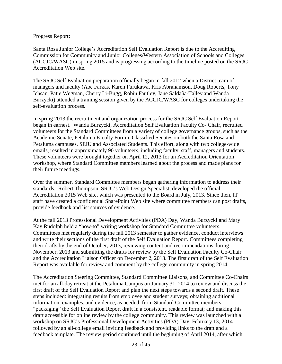#### Progress Report:

Santa Rosa Junior College's Accreditation Self Evaluation Report is due to the Accrediting Commission for Community and Junior Colleges/Western Association of Schools and Colleges (ACCJC/WASC) in spring 2015 and is progressing according to the timeline posted on the SRJC Accreditation Web site.

The SRJC Self Evaluation preparation officially began in fall 2012 when a District team of managers and faculty (Abe Farkas, Karen Furukawa, Kris Abrahamson, Doug Roberts, Tony Ichsan, Patie Wegman, Cherry Li-Bugg, Robin Fautley, Jane Saldaña-Talley and Wanda Burzycki) attended a training session given by the ACCJC/WASC for colleges undertaking the self-evaluation process.

In spring 2013 the recruitment and organization process for the SRJC Self Evaluation Report began in earnest. Wanda Burzycki, Accreditation Self Evaluation Faculty Co- Chair, recruited volunteers for the Standard Committees from a variety of college governance groups, such as the Academic Senate, Petaluma Faculty Forum, Classified Senates on both the Santa Rosa and Petaluma campuses, SEIU and Associated Students. This effort, along with two college-wide emails, resulted in approximately 90 volunteers, including faculty, staff, managers and students. These volunteers were brought together on April 12, 2013 for an Accreditation Orientation workshop, where Standard Committee members learned about the process and made plans for their future meetings.

Over the summer, Standard Committee members began gathering information to address their standards. Robert Thompson, SRJC's Web Design Specialist, developed the official Accreditation 2015 Web site, which was presented to the Board in July, 2013. Since then, IT staff have created a confidential SharePoint Web site where committee members can post drafts, provide feedback and list sources of evidence.

At the fall 2013 Professional Development Activities (PDA) Day, Wanda Burzycki and Mary Kay Rudolph held a "how-to" writing workshop for Standard Committee volunteers. Committees met regularly during the fall 2013 semester to gather evidence, conduct interviews and write their sections of the first draft of the Self Evaluation Report. Committees completing their drafts by the end of October, 2013, reviewing content and recommendations during November, 2013 and submitting the drafts for review by the Self Evaluation Faculty Co-Chair and the Accreditation Liaison Officer on December 2, 2013. The first draft of the Self Evaluation Report was available for review and comment by the college community in spring 2014.

The Accreditation Steering Committee, Standard Committee Liaisons, and Committee Co-Chairs met for an all-day retreat at the Petaluma Campus on January 31, 2014 to review and discuss the first draft of the Self Evaluation Report and plan the next steps towards a second draft. These steps included: integrating results from employee and student surveys; obtaining additional information, examples, and evidence, as needed, from Standard Committee members; "packaging" the Self Evaluation Report draft in a consistent, readable format; and making this draft accessible for online review by the college community. This review was launched with a workshop on SRJC's Professional Development Activities (PDA) Day, February 13, 2014 followed by an all-college email inviting feedback and providing links to the draft and a feedback template. The review period continued until the beginning of April 2014, after which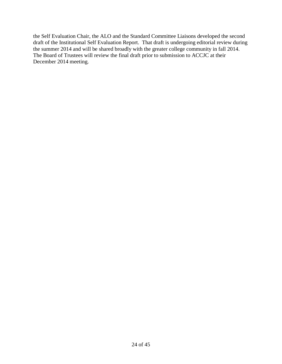the Self Evaluation Chair, the ALO and the Standard Committee Liaisons developed the second draft of the Institutional Self Evaluation Report. That draft is undergoing editorial review during the summer 2014 and will be shared broadly with the greater college community in fall 2014. The Board of Trustees will review the final draft prior to submission to ACCJC at their December 2014 meeting.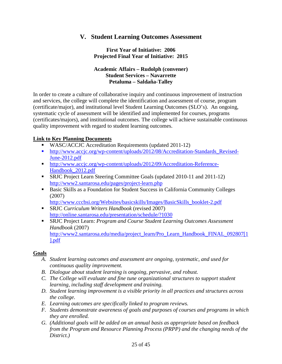## **V. Student Learning Outcomes Assessment**

**First Year of Initiative: 2006 Projected Final Year of Initiative: 2015**

#### **Academic Affairs – Rudolph (convener) Student Services – Navarrette Petaluma – Saldaña-Talley**

In order to create a culture of collaborative inquiry and continuous improvement of instruction and services, the college will complete the identification and assessment of course, program (certificate/major), and institutional level Student Learning Outcomes (SLO's). An ongoing, systematic cycle of assessment will be identified and implemented for courses, programs (certificates/majors), and institutional outcomes. The college will achieve sustainable continuous quality improvement with regard to student learning outcomes.

#### **Link to Key Planning Documents**

- **WASC/ACCJC** Accreditation Requirements (updated 2011-12)
- [http://www.accjc.org/wp-content/uploads/2012/08/Accreditation-Standards\\_Revised-](http://www.accjc.org/wp-content/uploads/2012/08/Accreditation-Standards_Revised-June-2012.pdf)[June-2012.pdf](http://www.accjc.org/wp-content/uploads/2012/08/Accreditation-Standards_Revised-June-2012.pdf)
- [http://www.accjc.org/wp-content/uploads/2012/09/Accreditation-Reference-](http://www.accjc.org/wp-content/uploads/2012/09/Accreditation-Reference-Handbook_2012.pdf)[Handbook\\_2012.pdf](http://www.accjc.org/wp-content/uploads/2012/09/Accreditation-Reference-Handbook_2012.pdf)
- SRJC Project Learn Steering Committee Goals (updated 2010-11 and 2011-12) <http://www2.santarosa.edu/pages/project-learn.php>
- Basic Skills as a Foundation for Student Success in California Community Colleges (2007)

[http://www.cccbsi.org/Websites/basicskills/Images/BasicSkills\\_booklet-2.pdf](http://www.cccbsi.org/Websites/basicskills/Images/BasicSkills_booklet-2.pdf)

- SRJC *Curriculum Writers Handbook* (revised 2007) <http://online.santarosa.edu/presentation/schedule/?1030>
- SRJC Project Learn: *Program and Course Student Learning Outcomes Assessment Handbook* (2007) [http://www2.santarosa.edu/media/project\\_learn/Pro\\_Learn\\_Handbook\\_FINAL\\_092807\[1](http://www2.santarosa.edu/media/project_learn/Pro_Learn_Handbook_FINAL_092807%5b1%5d.pdf) [\].pdf](http://www2.santarosa.edu/media/project_learn/Pro_Learn_Handbook_FINAL_092807%5b1%5d.pdf)

#### **Goals**

- *A. Student learning outcomes and assessment are ongoing, systematic, and used for continuous quality improvement.*
- *B. Dialogue about student learning is ongoing, pervasive, and robust.*
- *C. The College will evaluate and fine tune organizational structures to support student learning, including staff development and training.*
- *D. Student learning improvement is a visible priority in all practices and structures across the college.*
- *E. Learning outcomes are specifically linked to program reviews.*
- *F. Students demonstrate awareness of goals and purposes of courses and programs in which they are enrolled.*
- *G. (Additional goals will be added on an annual basis as appropriate based on feedback from the Program and Resource Planning Process (PRPP) and the changing needs of the District.)*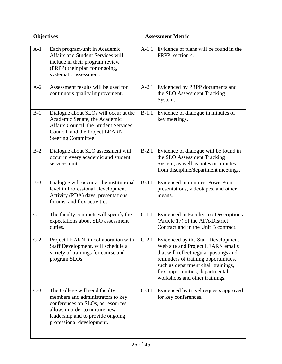# **Objectives Assessment Metric**

| $A-1$ | Each program/unit in Academic<br>Affairs and Student Services will<br>include in their program review<br>(PRPP) their plan for ongoing,<br>systematic assessment.                                           |         | A-1.1 Evidence of plans will be found in the<br>PRPP, section 4.                                                                                                                                                                                                       |
|-------|-------------------------------------------------------------------------------------------------------------------------------------------------------------------------------------------------------------|---------|------------------------------------------------------------------------------------------------------------------------------------------------------------------------------------------------------------------------------------------------------------------------|
| $A-2$ | Assessment results will be used for<br>continuous quality improvement.                                                                                                                                      |         | A-2.1 Evidenced by PRPP documents and<br>the SLO Assessment Tracking<br>System.                                                                                                                                                                                        |
| $B-1$ | Dialogue about SLOs will occur at the<br>Academic Senate, the Academic<br>Affairs Council, the Student Services<br>Council, and the Project LEARN<br>Steering Committee.                                    | $B-1.1$ | Evidence of dialogue in minutes of<br>key meetings.                                                                                                                                                                                                                    |
| $B-2$ | Dialogue about SLO assessment will<br>occur in every academic and student<br>services unit.                                                                                                                 | $B-2.1$ | Evidence of dialogue will be found in<br>the SLO Assessment Tracking<br>System, as well as notes or minutes<br>from discipline/department meetings.                                                                                                                    |
| $B-3$ | Dialogue will occur at the institutional<br>level in Professional Development<br>Activity (PDA) days, presentations,<br>forums, and flex activities.                                                        | $B-3.1$ | Evidenced in minutes, PowerPoint<br>presentations, videotapes, and other<br>means.                                                                                                                                                                                     |
| $C-1$ | The faculty contracts will specify the<br>expectations about SLO assessment<br>duties.                                                                                                                      |         | C-1.1 Evidenced in Faculty Job Descriptions<br>(Article 17) of the AFA/District<br>Contract and in the Unit B contract.                                                                                                                                                |
| $C-2$ | Project LEARN, in collaboration with<br>Staff Development, will schedule a<br>variety of trainings for course and<br>program SLOs.                                                                          | $C-2.1$ | Evidenced by the Staff Development<br>Web site and Project LEARN emails<br>that will reflect regular postings and<br>reminders of training opportunities,<br>such as department chair trainings,<br>flex opportunities, departmental<br>workshops and other trainings. |
| $C-3$ | The College will send faculty<br>members and administrators to key<br>conferences on SLOs, as resources<br>allow, in order to nurture new<br>leadership and to provide ongoing<br>professional development. | $C-3.1$ | Evidenced by travel requests approved<br>for key conferences.                                                                                                                                                                                                          |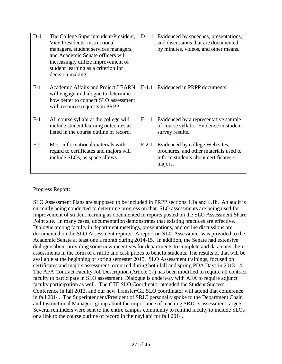| $D-1$ | The College Superintendent/President,<br>Vice Presidents, instructional<br>managers, student services managers,<br>and Academic Senate officers will<br>increasingly utilize improvement of<br>student learning as a criterion for<br>decision making. | $D-1.1$ | Evidenced by speeches, presentations,<br>and discussions that are documented<br>by minutes, videos, and other means.         |
|-------|--------------------------------------------------------------------------------------------------------------------------------------------------------------------------------------------------------------------------------------------------------|---------|------------------------------------------------------------------------------------------------------------------------------|
| $E-1$ | Academic Affairs and Project LEARN<br>will engage in dialogue to determine<br>how better to connect SLO assessment<br>with resource requests in PRPP.                                                                                                  | $E-1.1$ | Evidenced in PRPP documents.                                                                                                 |
| $F-1$ | All course syllabi at the college will<br>include student learning outcomes as<br>listed in the course outline of record.                                                                                                                              | $F-1.1$ | Evidenced by a representative sample<br>of course syllabi. Evidence in student<br>survey results.                            |
| $F-2$ | Most informational materials with<br>regard to certificates and majors will<br>include SLOs, as space allows.                                                                                                                                          | $F-2.1$ | Evidenced by college Web sites,<br>brochures, and other materials used to<br>inform students about certificates /<br>majors. |

Progress Report:

SLO Assessment Plans are supposed to be included in PRPP sections 4.1a and 4.1b. An audit is currently being conducted to determine progress on that. SLO assessments are being used for improvement of student learning as documented in reports posted on the SLO Assessment Share Point site. In many cases, documentation demonstrates that existing practices are effective. Dialogue among faculty in department meetings, presentations, and online discussions are documented on the SLO Assessment reports. A report on SLO Assessment was provided to the Academic Senate at least one a month during 2014-15. In addition, the Senate had extensive dialogue about providing some new incentives for departments to complete and data enter their assessments in the form of a raffle and cash prizes to benefit students. The results of that will be available at the beginning of spring semester 2015. SLO Assessment trainings, focused on certificates and majors assessment, occurred during both fall and spring PDA Days in 2013-14. The AFA Contract Faculty Job Description (Article 17) has been modified to require all contract faculty to participate in SLO assessment. Dialogue is underway with AFA to require adjunct faculty participation as well. The CTE SLO Coordinator attended the Student Success Conference in fall 2013, and our new Transfer/GE SLO coordinator will attend that conference in fall 2014. The Superintendent/President of SRJC personally spoke to the Department Chair and Instructional Managers group about the importance of reaching SRJC's assessment targets. Several reminders were sent to the entire campus community to remind faculty to include SLOs or a link to the course outline of record in their syllabi for fall 2014.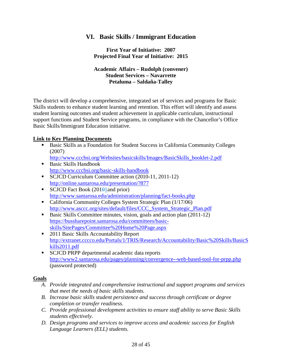# **VI. Basic Skills / Immigrant Education**

**First Year of Initiative: 2007 Projected Final Year of Initiative: 2015**

#### **Academic Affairs – Rudolph (convener) Student Services – Navarrette Petaluma – Saldaña-Talley**

The district will develop a comprehensive, integrated set of services and programs for Basic Skills students to enhance student learning and retention. This effort will identify and assess student learning outcomes and student achievement in applicable curriculum, instructional support functions and Student Service programs, in compliance with the Chancellor's Office Basic Skills/Immigrant Education initiative.

#### **Link to Key Planning Documents**

 Basic Skills as a Foundation for Student Success in California Community Colleges (2007)

[http://www.cccbsi.org/Websites/basicskills/Images/BasicSkills\\_booklet-2.pdf](http://www.cccbsi.org/Websites/basicskills/Images/BasicSkills_booklet-2.pdf)

- Basic Skills Handbook <http://www.cccbsi.org/basic-skills-handbook>
- SCJCD Curriculum Committee action (2010-11, 2011-12) <http://online.santarosa.edu/presentation/?877>
- SCJCD Fact Book (201 $\theta$ 1and prior) <http://www.santarosa.edu/administration/planning/fact-books.php>
- California Community Colleges System Strategic Plan (1/17/06) [http://www.asccc.org/sites/default/files/CCC\\_System\\_Strategic\\_Plan.pdf](http://www.asccc.org/sites/default/files/CCC_System_Strategic_Plan.pdf)
- Basic Skills Committee minutes, vision, goals and action plan (2011-12) [https://bussharepoint.santarosa.edu/committees/basic](https://bussharepoint.santarosa.edu/committees/basic-skills/SitePages/Committee%20Home%20Page.aspx)[skills/SitePages/Committee%20Home%20Page.aspx](https://bussharepoint.santarosa.edu/committees/basic-skills/SitePages/Committee%20Home%20Page.aspx)
- 2011 Basic Skills Accountability Report [http://extranet.cccco.edu/Portals/1/TRIS/Research/Accountability/Basic%20Skills/BasicS](http://extranet.cccco.edu/Portals/1/TRIS/Research/Accountability/Basic%20Skills/BasicSkills2011.pdf) [kills2011.pdf](http://extranet.cccco.edu/Portals/1/TRIS/Research/Accountability/Basic%20Skills/BasicSkills2011.pdf)
- **SCJCD PRPP departmental academic data reports** <http://www2.santarosa.edu/pages/planning/convergence--web-based-tool-for-prpp.php> (password protected)

#### **Goals**

- *A. Provide integrated and comprehensive instructional and support programs and services that meet the needs of basic skills students.*
- *B. Increase basic skills student persistence and success through certificate or degree completion or transfer readiness.*
- *C. Provide professional development activities to ensure staff ability to serve Basic Skills students effectively.*
- *D. Design programs and services to improve access and academic success for English Language Learners (ELL) students.*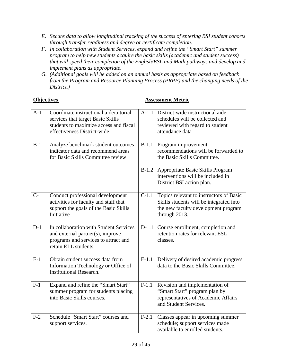- *E. Secure data to allow longitudinal tracking of the success of entering BSI student cohorts through transfer readiness and degree or certificate completion.*
- *F. In collaboration with Student Services, expand and refine the "Smart Start" summer program to help new students acquire the basic skills (academic and student success) that will speed their completion of the English/ESL and Math pathways and develop and implement plans as appropriate.*
- *G. (Additional goals will be added on an annual basis as appropriate based on feedback from the Program and Resource Planning Process (PRPP) and the changing needs of the District.)*

#### **Objectives Assessment Metric**

| $A-1$ | Coordinate instructional aide/tutorial<br>services that target Basic Skills<br>students to maximize access and fiscal<br>effectiveness District-wide |         | A-1.1 District-wide instructional aide<br>schedules will be collected and<br>reviewed with regard to student<br>attendance data            |
|-------|------------------------------------------------------------------------------------------------------------------------------------------------------|---------|--------------------------------------------------------------------------------------------------------------------------------------------|
| $B-1$ | Analyze benchmark student outcomes<br>indicator data and recommend areas<br>for Basic Skills Committee review                                        | $B-1.1$ | Program improvement<br>recommendations will be forwarded to<br>the Basic Skills Committee.                                                 |
|       |                                                                                                                                                      | $B-1.2$ | Appropriate Basic Skills Program<br>interventions will be included in<br>District BSI action plan.                                         |
| $C-1$ | Conduct professional development<br>activities for faculty and staff that<br>support the goals of the Basic Skills<br>Initiative                     | $C-1.1$ | Topics relevant to instructors of Basic<br>Skills students will be integrated into<br>the new faculty development program<br>through 2013. |
| $D-1$ | In collaboration with Student Services<br>and external partner(s), improve<br>programs and services to attract and<br>retain ELL students.           | $D-1.1$ | Course enrollment, completion and<br>retention rates for relevant ESL<br>classes.                                                          |
| $E-1$ | Obtain student success data from<br>Information Technology or Office of<br><b>Institutional Research.</b>                                            | $E-1.1$ | Delivery of desired academic progress<br>data to the Basic Skills Committee.                                                               |
| $F-1$ | Expand and refine the "Smart Start"<br>summer program for students placing<br>into Basic Skills courses.                                             | $F-1.1$ | Revision and implementation of<br>"Smart Start" program plan by<br>representatives of Academic Affairs<br>and Student Services.            |
| $F-2$ | Schedule "Smart Start" courses and<br>support services.                                                                                              | $F-2.1$ | Classes appear in upcoming summer<br>schedule; support services made<br>available to enrolled students.                                    |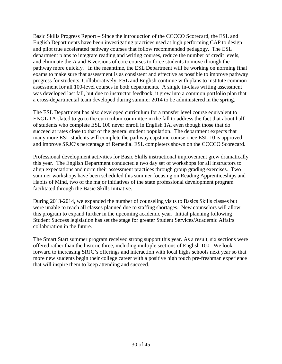Basic Skills Progress Report – Since the introduction of the CCCCO Scorecard, the ESL and English Departments have been investigating practices used at high performing CAP to design and pilot true accelerated pathway courses that follow recommended pedagogy. The ESL department plans to integrate reading and writing courses, reduce the number of credit levels, and eliminate the A and B versions of core courses to force students to move through the pathway more quickly. In the meantime, the ESL Department will be working on norming final exams to make sure that assessment is as consistent and effective as possible to improve pathway progress for students. Collaboratively, ESL and English continue with plans to institute common assessment for all 100-level courses in both departments. A single in-class writing assessment was developed last fall, but due to instructor feedback, it grew into a common portfolio plan that a cross-departmental team developed during summer 2014 to be administered in the spring.

The ESL Department has also developed curriculum for a transfer level course equivalent to ENGL 1A slated to go to the curriculum committee in the fall to address the fact that about half of students who complete ESL 100 never enroll in English 1A, even though those that do succeed at rates close to that of the general student population. The department expects that many more ESL students will complete the pathway capstone course once ESL 10 is approved and improve SRJC's percentage of Remedial ESL completers shown on the CCCCO Scorecard.

Professional development activities for Basic Skills instructional improvement grew dramatically this year. The English Department conducted a two day set of workshops for all instructors to align expectations and norm their assessment practices through group grading exercises. Two summer workshops have been scheduled this summer focusing on Reading Apprenticeships and Habits of Mind, two of the major initiatives of the state professional development program facilitated through the Basic Skills Initiative.

During 2013-2014, we expanded the number of counseling visits to Basics Skills classes but were unable to reach all classes planned due to staffing shortages. New counselors will allow this program to expand further in the upcoming academic year. Initial planning following Student Success legislation has set the stage for greater Student Services/Academic Affairs collaboration in the future.

The Smart Start summer program received strong support this year. As a result, six sections were offered rather than the historic three, including multiple sections of English 100. We look forward to increasing SRJC's offerings and interaction with local highs schools next year so that more new students begin their college career with a positive high touch pre-freshman experience that will inspire them to keep attending and succeed.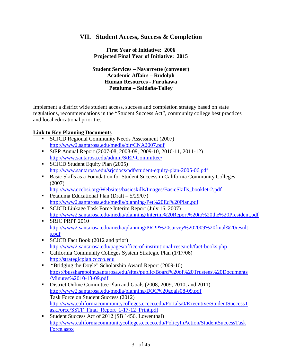# **VII. Student Access, Success & Completion**

**First Year of Initiative: 2006 Projected Final Year of Initiative: 2015**

**Student Services – Navarrette (convener) Academic Affairs – Rudolph Human Resources - Furukawa Petaluma – Saldaña-Talley**

Implement a district wide student access, success and completion strategy based on state regulations, recommendations in the "Student Success Act", community college best practices and local educational priorities.

#### **Link to Key Planning Documents**

- SCJCD Regional Community Needs Assessment (2007) <http://www2.santarosa.edu/media/oir/CNA2007.pdf>
- StEP Annual Report (2007-08, 2008-09, 2009-10, 2010-11, 2011-12) <http://www.santarosa.edu/admin/StEP-Committee/>
- SCJCD Student Equity Plan (2005) <http://www.santarosa.edu/srjcdocs/pdf/student-equity-plan-2005-06.pdf>
- Basic Skills as a Foundation for Student Success in California Community Colleges (2007)
- [http://www.cccbsi.org/Websites/basicskills/Images/BasicSkills\\_booklet-2.pdf](http://www.cccbsi.org/Websites/basicskills/Images/BasicSkills_booklet-2.pdf) Petaluma Educational Plan (Draft –  $5/29/07$ )
- <http://www2.santarosa.edu/media/planning/Pet%20Ed%20Plan.pdf>
- SCJCD Linkage Task Force Interim Report (July 16, 2007) <http://www2.santarosa.edu/media/planning/Interim%20Report%20to%20the%20President.pdf>
- SRJC PRPP 2010 [http://www2.santarosa.edu/media/planning/PRPP%20survey%202009%20final%20result](http://www2.santarosa.edu/media/planning/PRPP%20survey%202009%20final%20results.pdf) [s.pdf](http://www2.santarosa.edu/media/planning/PRPP%20survey%202009%20final%20results.pdf)
- SCJCD Fact Book (2012 and prior) <http://www2.santarosa.edu/pages/office-of-institutional-research/fact-books.php>
- California Community Colleges System Strategic Plan (1/17/06) [http://strategicplan.cccco.edu](http://strategicplan.cccco.edu/)
- **•** "Bridging the Doyle" Scholarship Award Report (2009-10) [https://bussharepoint.santarosa.edu/sites/public/Board%20of%20Trustees%20Documents](https://bussharepoint.santarosa.edu/sites/public/Board%20of%20Trustees%20Documents/Minutes%2010-13-09.pdf) [/Minutes%2010-13-09.pdf](https://bussharepoint.santarosa.edu/sites/public/Board%20of%20Trustees%20Documents/Minutes%2010-13-09.pdf)
- District Online Committee Plan and Goals (2008, 2009, 2010, and 2011) <http://www2.santarosa.edu/media/planning/DOC%20goals08-09.pdf> Task Force on Student Success (2012) [http://www.californiacommunitycolleges.cccco.edu/Portals/0/Executive/StudentSuccessT](http://www.californiacommunitycolleges.cccco.edu/Portals/0/Executive/StudentSuccessTaskForce/SSTF_Final_Report_1-17-12_Print.pdf) [askForce/SSTF\\_Final\\_Report\\_1-17-12\\_Print.pdf](http://www.californiacommunitycolleges.cccco.edu/Portals/0/Executive/StudentSuccessTaskForce/SSTF_Final_Report_1-17-12_Print.pdf)
- Student Success Act of 2012 (SB 1456, Lowenthal) [http://www.californiacommunitycolleges.cccco.edu/PolicyInAction/StudentSuccessTask](http://www.californiacommunitycolleges.cccco.edu/PolicyInAction/StudentSuccessTaskForce.aspx) [Force.aspx](http://www.californiacommunitycolleges.cccco.edu/PolicyInAction/StudentSuccessTaskForce.aspx)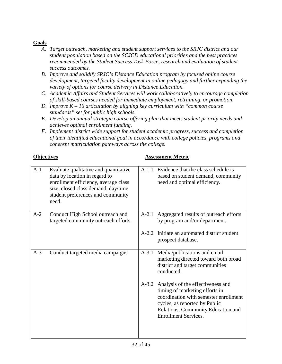#### **Goals**

- *A. Target outreach, marketing and student support services to the SRJC district and our student population based on the SCJCD educational priorities and the best practices recommended by the Student Success Task Force, research and evaluation of student success outcomes.*
- *B. Improve and solidify SRJC's Distance Education program by focused online course development, targeted faculty development in online pedagogy and further expanding the variety of options for course delivery in Distance Education.*
- *C. Academic Affairs and Student Services will work collaboratively to encourage completion of skill-based courses needed for immediate employment, retraining, or promotion.*
- *D. Improve K – 16 articulation by aligning key curriculum with "common course standards" set for public high schools.*
- *E. Develop an annual strategic course offering plan that meets student priority needs and achieves optimal enrollment funding.*
- *F. Implement district wide support for student academic progress, success and completion of their identified educational goal in accordance with college policies, programs and coherent matriculation pathways across the college.*

#### **Objectives Assessment Metric**

| $A-1$ | Evaluate qualitative and quantitative<br>data by location in regard to<br>enrollment efficiency, average class<br>size, closed class demand, day/time<br>student preferences and community<br>need. | $A-1.1$ | Evidence that the class schedule is<br>based on student demand, community<br>need and optimal efficiency.                                                                                                          |
|-------|-----------------------------------------------------------------------------------------------------------------------------------------------------------------------------------------------------|---------|--------------------------------------------------------------------------------------------------------------------------------------------------------------------------------------------------------------------|
| $A-2$ | Conduct High School outreach and<br>targeted community outreach efforts.                                                                                                                            | $A-2.1$ | Aggregated results of outreach efforts<br>by program and/or department.                                                                                                                                            |
|       |                                                                                                                                                                                                     | $A-2.2$ | Initiate an automated district student<br>prospect database.                                                                                                                                                       |
| $A-3$ | Conduct targeted media campaigns.                                                                                                                                                                   | $A-3.1$ | Media/publications and email<br>marketing directed toward both broad<br>district and target communities<br>conducted.                                                                                              |
|       |                                                                                                                                                                                                     | $A-3.2$ | Analysis of the effectiveness and<br>timing of marketing efforts in<br>coordination with semester enrollment<br>cycles, as reported by Public<br>Relations, Community Education and<br><b>Enrollment Services.</b> |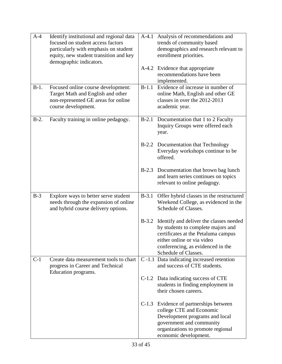| $A-4$   | Identify institutional and regional data<br>focused on student access factors | $A-4.1$ | Analysis of recommendations and<br>trends of community based                  |
|---------|-------------------------------------------------------------------------------|---------|-------------------------------------------------------------------------------|
|         | particularly with emphasis on student                                         |         | demographics and research relevant to                                         |
|         | equity, new student transition and key                                        |         | enrollment priorities.                                                        |
|         | demographic indicators.                                                       |         |                                                                               |
|         |                                                                               |         | A-4.2 Evidence that appropriate<br>recommendations have been                  |
|         |                                                                               |         | implemented.                                                                  |
| $B-1$ . | Focused online course development:                                            | $B-1.1$ | Evidence of increase in number of                                             |
|         | Target Math and English and other                                             |         | online Math, English and other GE                                             |
|         | non-represented GE areas for online<br>course development.                    |         | classes in over the 2012-2013<br>academic year.                               |
|         |                                                                               |         |                                                                               |
| $B-2$ . | Faculty training in online pedagogy.                                          | $B-2.1$ | Documentation that 1 to 2 Faculty                                             |
|         |                                                                               |         | Inquiry Groups were offered each                                              |
|         |                                                                               |         | year.                                                                         |
|         |                                                                               |         | B-2.2 Documentation that Technology                                           |
|         |                                                                               |         | Everyday workshops continue to be                                             |
|         |                                                                               |         | offered.                                                                      |
|         |                                                                               |         | B-2.3 Documentation that brown bag lunch                                      |
|         |                                                                               |         | and learn series continues on topics                                          |
|         |                                                                               |         | relevant to online pedagogy.                                                  |
| $B-3$   | Explore ways to better serve student                                          | $B-3.1$ | Offer hybrid classes in the restructured                                      |
|         | needs through the expansion of online                                         |         | Weekend College, as evidenced in the                                          |
|         | and hybrid course delivery options.                                           |         | Schedule of Classes.                                                          |
|         |                                                                               |         |                                                                               |
|         |                                                                               | $B-3.2$ | Identify and deliver the classes needed<br>by students to complete majors and |
|         |                                                                               |         | certificates at the Petaluma campus                                           |
|         |                                                                               |         | either online or via video                                                    |
|         |                                                                               |         | conferencing, as evidenced in the                                             |
|         |                                                                               |         | Schedule of Classes.                                                          |
| $C-1$   | Create data measurement tools to chart<br>progress in Career and Technical    |         | C-1.1 Data indicating increased retention<br>and success of CTE students.     |
|         | Education programs.                                                           |         |                                                                               |
|         |                                                                               |         | C-1.2 Data indicating success of CTE                                          |
|         |                                                                               |         | students in finding employment in                                             |
|         |                                                                               |         | their chosen careers.                                                         |
|         |                                                                               | $C-1.3$ | Evidence of partnerships between                                              |
|         |                                                                               |         | college CTE and Economic                                                      |
|         |                                                                               |         | Development programs and local                                                |
|         |                                                                               |         | government and community<br>organizations to promote regional                 |
|         |                                                                               |         | economic development.                                                         |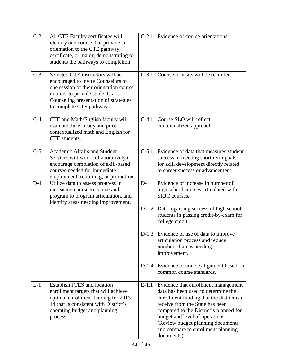| $C-2$ | All CTE Faculty certificates will<br>identify one course that provide an<br>orientation to the CTE pathway,<br>certificate, or major, demonstrating to<br>students the pathways to completion.                            |         | C-2.1 Evidence of course orientations.                                                                                                                                                                                                                                                                                           |
|-------|---------------------------------------------------------------------------------------------------------------------------------------------------------------------------------------------------------------------------|---------|----------------------------------------------------------------------------------------------------------------------------------------------------------------------------------------------------------------------------------------------------------------------------------------------------------------------------------|
| $C-3$ | Selected CTE instructors will be<br>encouraged to invite Counselors to<br>one session of their orientation course<br>in order to provide students a<br>Counseling presentation of strategies<br>to complete CTE pathways. |         | C-3.1 Counselor visits will be recorded.                                                                                                                                                                                                                                                                                         |
| $C-4$ | CTE and Math/English faculty will<br>evaluate the efficacy and pilot<br>contextualized math and English for<br>CTE students.                                                                                              | $C-4.1$ | Course SLO will reflect<br>contextualized approach.                                                                                                                                                                                                                                                                              |
| $C-5$ | Academic Affairs and Student<br>Services will work collaboratively to<br>encourage completion of skill-based<br>courses needed for immediate<br>employment, retraining, or promotion.                                     | $C-5.1$ | Evidence of data that measures student<br>success in meeting short-term goals<br>for skill development directly related<br>to career success or advancement.                                                                                                                                                                     |
| $D-1$ | Utilize data to assess progress in<br>increasing course to course and<br>program to program articulation, and<br>identify areas needing improvement.                                                                      |         | D-1.1 Evidence of increase in number of<br>high school courses articulated with<br>SRJC courses.                                                                                                                                                                                                                                 |
|       |                                                                                                                                                                                                                           |         | D-1.2 Data regarding success of high school<br>students in passing credit-by-exam for<br>college credit.                                                                                                                                                                                                                         |
|       |                                                                                                                                                                                                                           |         | D-1.3 Evidence of use of data to improve<br>articulation process and reduce<br>number of areas needing<br>improvement.                                                                                                                                                                                                           |
|       |                                                                                                                                                                                                                           |         | D-1.4 Evidence of course alignment based on<br>common course standards.                                                                                                                                                                                                                                                          |
| $E-1$ | <b>Establish FTES and location</b><br>enrollment targets that will achieve<br>optimal enrollment funding for 2013-<br>14 that is consistent with District's<br>operating budget and planning<br>process.                  | $E-1.1$ | Evidence that enrollment management<br>data has been used to determine the<br>enrollment funding that the district can<br>receive from the State has been<br>compared to the District's planned for<br>budget and level of operations.<br>(Review budget planning documents<br>and compare to enrollment planning<br>documents). |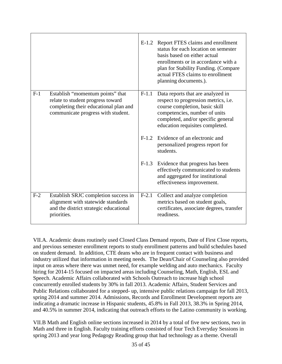|       |                                                                                                                                                      | $E-1.2$ | Report FTES claims and enrollment<br>status for each location on semester<br>basis based on either actual<br>enrollments or in accordance with a<br>plan for Stability Funding. (Compare<br>actual FTES claims to enrollment<br>planning documents.). |
|-------|------------------------------------------------------------------------------------------------------------------------------------------------------|---------|-------------------------------------------------------------------------------------------------------------------------------------------------------------------------------------------------------------------------------------------------------|
| $F-1$ | Establish "momentum points" that<br>relate to student progress toward<br>completing their educational plan and<br>communicate progress with student. | $F-1.1$ | Data reports that are analyzed in<br>respect to progression metrics, i.e.<br>course completion, basic skill<br>competencies, number of units<br>completed, and/or specific general<br>education requisites completed.                                 |
|       |                                                                                                                                                      |         | F-1.2 Evidence of an electronic and<br>personalized progress report for<br>students.                                                                                                                                                                  |
|       |                                                                                                                                                      | $F-1.3$ | Evidence that progress has been<br>effectively communicated to students<br>and aggregated for institutional<br>effectiveness improvement.                                                                                                             |
| $F-2$ | Establish SRJC completion success in<br>alignment with statewide standards<br>and the district strategic educational<br>priorities.                  | $F-2.1$ | Collect and analyze completion<br>metrics based on student goals,<br>certificates, associate degrees, transfer<br>readiness.                                                                                                                          |

VII.A. Academic deans routinely used Closed Class Demand reports, Date of First Close reports, and previous semester enrollment reports to study enrollment patterns and build schedules based on student demand. In addition, CTE deans who are in frequent contact with business and industry utilized that information in meeting needs. The Dean/Chair of Counseling also provided input on areas where there was unmet need, for example welding and auto mechanics. Faculty hiring for 2014-15 focused on impacted areas including Counseling, Math, English, ESL and Speech. Academic Affairs collaborated with Schools Outreach to increase high school concurrently enrolled students by 30% in fall 2013. Academic Affairs, Student Services and Public Relations collaborated for a stepped- up, intensive public relations campaign for fall 2013, spring 2014 and summer 2014. Admissions, Records and Enrollment Development reports are indicating a dramatic increase in Hispanic students, 45.8% in Fall 2013, 38.3% in Spring 2014, and 40.5% in summer 2014, indicating that outreach efforts to the Latino community is working.

VII.B Math and English online sections increased in 2014 by a total of five new sections, two in Math and three in English. Faculty training efforts consisted of four Tech Everyday Sessions in spring 2013 and year long Pedagogy Reading group that had technology as a theme. Overall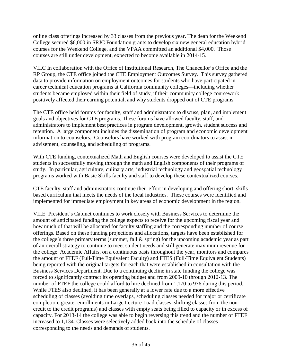online class offerings increased by 33 classes from the previous year. The dean for the Weekend College secured \$6,000 in SRJC Foundation grants to develop six new general education hybrid courses for the Weekend College, and the VPAA committed an additional \$4,000. Those courses are still under development, expected to become available in 2014-15.

VII.C In collaboration with the Office of Institutional Research, The Chancellor's Office and the RP Group, the CTE office joined the CTE Employment Outcomes Survey. This survey gathered data to provide information on employment outcomes for students who have participated in career technical education programs at California community colleges—including whether students became employed within their field of study, if their community college coursework positively affected their earning potential, and why students dropped out of CTE programs.

The CTE office held forums for faculty, staff and administrators to discuss, plan, and implement goals and objectives for CTE programs. These forums have allowed faculty, staff, and administrators to implement best practices in program development, growth, student success and retention. A large component includes the dissemination of program and economic development information to counselors. Counselors have worked with program coordinators to assist in advisement, counseling, and scheduling of programs.

With CTE funding, contextualized Math and English courses were developed to assist the CTE students in successfully moving through the math and English components of their programs of study. In particular, agriculture, culinary arts, industrial technology and geospatial technology programs worked with Basic Skills faculty and staff to develop these contextualized courses.

CTE faculty, staff and administrators continue their effort in developing and offering short, skills based curriculum that meets the needs of the local industries. These courses were identified and implemented for immediate employment in key areas of economic development in the region.

VII.E President's Cabinet continues to work closely with Business Services to determine the amount of anticipated funding the college expects to receive for the upcoming fiscal year and how much of that will be allocated for faculty staffing and the corresponding number of course offerings. Based on these funding projections and allocations, targets have been established for the college's three primary terms (summer, fall & spring) for the upcoming academic year as part of an overall strategy to continue to meet student needs and still generate maximum revenue for the college. Academic Affairs, on a continuous basis throughout the year, monitors and compares the amount of FTEF (Full-Time Equivalent Faculty) and FTES (Full-Time Equivalent Students) being reported with the original targets for each that were established in consultation with the Business Services Department. Due to a continuing decline in state funding the college was forced to significantly contract its operating budget and from 2009-10 through 2012-13. The number of FTEF the college could afford to hire declined from 1,170 to 976 during this period. While FTES also declined, it has been generally at a lower rate due to a more effective scheduling of classes (avoiding time overlaps, scheduling classes needed for major or certificate completion, greater enrollments in Large Lecture Load classes, shifting classes from the noncredit to the credit programs) and classes with empty seats being filled to capacity or in excess of capacity. For 2013-14 the college was able to begin reversing this trend and the number of FTEF increased to 1,134. Classes were selectively added back into the schedule of classes corresponding to the needs and demands of students.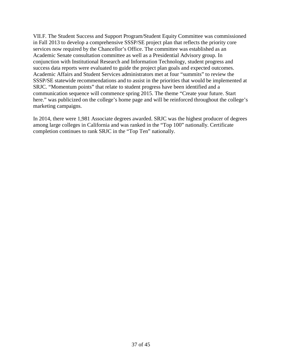VII.F. The Student Success and Support Program/Student Equity Committee was commissioned in Fall 2013 to develop a comprehensive SSSP/SE project plan that reflects the priority core services now required by the Chancellor's Office. The committee was established as an Academic Senate consultation committee as well as a Presidential Advisory group. In conjunction with Institutional Research and Information Technology, student progress and success data reports were evaluated to guide the project plan goals and expected outcomes. Academic Affairs and Student Services administrators met at four "summits" to review the SSSP/SE statewide recommendations and to assist in the priorities that would be implemented at SRJC. "Momentum points" that relate to student progress have been identified and a communication sequence will commence spring 2015. The theme "Create your future. Start here." was publicized on the college's home page and will be reinforced throughout the college's marketing campaigns.

In 2014, there were 1,981 Associate degrees awarded. SRJC was the highest producer of degrees among large colleges in California and was ranked in the "Top 100" nationally. Certificate completion continues to rank SRJC in the "Top Ten" nationally.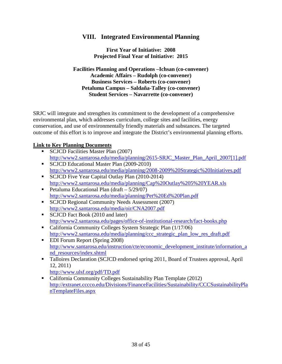# **VIII. Integrated Environmental Planning**

**First Year of Initiative: 2008 Projected Final Year of Initiative: 2015**

**Facilities Planning and Operations –Ichsan (co-convener) Academic Affairs – Rudolph (co-convener) Business Services – Roberts (co-convener) Petaluma Campus – Saldaña-Talley (co-convener) Student Services – Navarrette (co-convener)**

SRJC will integrate and strengthen its commitment to the development of a comprehensive environmental plan, which addresses curriculum, college sites and facilities, energy conservation, and use of environmentally friendly materials and substances. The targeted outcome of this effort is to improve and integrate the District's environmental planning efforts.

### **Link to Key Planning Documents**

- SCJCD Facilities Master Plan (2007) [http://www2.santarosa.edu/media/planning/2615-SRJC\\_Master\\_Plan\\_April\\_2007\[1\].pdf](http://www2.santarosa.edu/media/planning/2615-SRJC_Master_Plan_April_2007%5b1%5d.pdf)
- **SCJCD Educational Master Plan (2009-2010)** <http://www2.santarosa.edu/media/planning/2008-2009%20Strategic%20Initiatives.pdf>
- SCJCD Five Year Capital Outlay Plan (2010-2014) <http://www2.santarosa.edu/media/planning/Cap%20Outlay%205%20YEAR.xls>
- Petaluma Educational Plan (draft  $-5/29/07$ ) <http://www2.santarosa.edu/media/planning/Pet%20Ed%20Plan.pdf>
- SCJCD Regional Community Needs Assessment (2007) <http://www2.santarosa.edu/media/oir/CNA2007.pdf>
- SCJCD Fact Book (2010 and later) <http://www2.santarosa.edu/pages/office-of-institutional-research/fact-books.php>
- California Community Colleges System Strategic Plan (1/17/06) [http://www2.santarosa.edu/media/planning/ccc\\_strategic\\_plan\\_low\\_res\\_draft.pdf](http://www2.santarosa.edu/media/planning/ccc_strategic_plan_low_res_draft.pdf)
- **EDI Forum Report (Spring 2008)** [http://www.santarosa.edu/instruction/cte/economic\\_development\\_institute/information\\_a](http://www.santarosa.edu/instruction/cte/economic_development_institute/information_and_resources/index.shtml) [nd\\_resources/index.shtml](http://www.santarosa.edu/instruction/cte/economic_development_institute/information_and_resources/index.shtml)
- Talloires Declaration (SCJCD endorsed spring 2011, Board of Trustees approval, April 12, 2011)
	- <http://www.ulsf.org/pdf/TD.pdf>
- California Community Colleges Sustainability Plan Template (2012) [http://extranet.cccco.edu/Divisions/FinanceFacilities/Sustainability/CCCSustainabilityPla](http://extranet.cccco.edu/Divisions/FinanceFacilities/Sustainability/CCCSustainabilityPlanTemplateFiles.aspx) [nTemplateFiles.aspx](http://extranet.cccco.edu/Divisions/FinanceFacilities/Sustainability/CCCSustainabilityPlanTemplateFiles.aspx)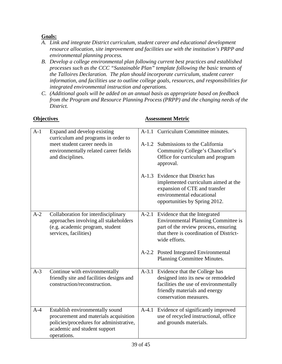### **Goals:**

- *A. Link and integrate District curriculum, student career and educational development resource allocation, site improvement and facilities use with the institution's PRPP and environmental planning process.*
- *B. Develop a college environmental plan following current best practices and established processes such as the CCC "Sustainable Plan" template following the basic tenants of the Talloires Declaration. The plan should incorporate curriculum, student career information, and facilities use to outline college goals, resources, and responsibilities for integrated environmental instruction and operations.*
- *C. (Additional goals will be added on an annual basis as appropriate based on feedback from the Program and Resource Planning Process (PRPP) and the changing needs of the District.*

#### **Objectives Assessment Metric**

| $A-1$ | Expand and develop existing<br>curriculum and programs in order to                                                                                                 |         | A-1.1 Curriculum Committee minutes.                                                                                                                                                  |
|-------|--------------------------------------------------------------------------------------------------------------------------------------------------------------------|---------|--------------------------------------------------------------------------------------------------------------------------------------------------------------------------------------|
|       | meet student career needs in<br>environmentally related career fields<br>and disciplines.                                                                          |         | A-1.2 Submissions to the California<br>Community College's Chancellor's<br>Office for curriculum and program<br>approval.                                                            |
|       |                                                                                                                                                                    |         | A-1.3 Evidence that District has<br>implemented curriculum aimed at the<br>expansion of CTE and transfer<br>environmental educational<br>opportunities by Spring 2012.               |
| $A-2$ | Collaboration for interdisciplinary<br>approaches involving all stakeholders<br>(e.g. academic program, student<br>services, facilities)                           |         | A-2.1 Evidence that the Integrated<br><b>Environmental Planning Committee is</b><br>part of the review process, ensuring<br>that there is coordination of District-<br>wide efforts. |
|       |                                                                                                                                                                    |         | A-2.2 Posted Integrated Environmental<br>Planning Committee Minutes.                                                                                                                 |
| $A-3$ | Continue with environmentally<br>friendly site and facilities designs and<br>construction/reconstruction.                                                          |         | A-3.1 Evidence that the College has<br>designed into its new or remodeled<br>facilities the use of environmentally<br>friendly materials and energy<br>conservation measures.        |
| $A-4$ | Establish environmentally sound<br>procurement and materials acquisition<br>policies/procedures for administrative,<br>academic and student support<br>operations. | $A-4.1$ | Evidence of significantly improved<br>use of recycled instructional, office<br>and grounds materials.                                                                                |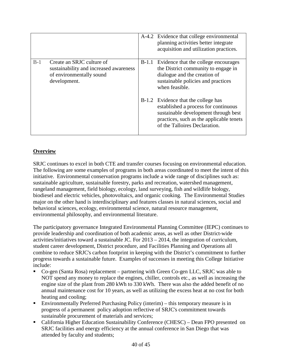|       |                                                                                                                 |         | A-4.2 Evidence that college environmental<br>planning activities better integrate<br>acquisition and utilization practices.                                                                      |
|-------|-----------------------------------------------------------------------------------------------------------------|---------|--------------------------------------------------------------------------------------------------------------------------------------------------------------------------------------------------|
| $B-1$ | Create an SRJC culture of<br>sustainability and increased awareness<br>of environmentally sound<br>development. | $B-1.1$ | Evidence that the college encourages<br>the District community to engage in<br>dialogue and the creation of<br>sustainable policies and practices<br>when feasible.                              |
|       |                                                                                                                 |         | B-1.2 Evidence that the college has<br>established a process for continuous<br>sustainable development through best<br>practices, such as the applicable tenets<br>of the Talloires Declaration. |

### **Overview**

SRJC continues to excel in both CTE and transfer courses focusing on environmental education. The following are some examples of programs in both areas coordinated to meet the intent of this initiative. Environmental conservation programs include a wide range of disciplines such as: sustainable agriculture, sustainable forestry, parks and recreation, watershed management, rangeland management, field biology, ecology, land surveying, fish and wildlife biology, biodiesel and electric vehicles, photovoltaics, and organic cooking. The Environmental Studies major on the other hand is interdisciplinary and features classes in natural sciences, social and behavioral sciences, ecology, environmental science, natural resource management, environmental philosophy, and environmental literature.

The participatory governance Integrated Environmental Planning Committee (IEPC) continues to provide leadership and coordination of both academic areas, as well as other District-wide activities/initiatives toward a sustainable JC. For 2013 – 2014, the integration of curriculum, student career development, District procedure, and Facilities Planning and Operations all combine to reduce SRJC's carbon footprint in keeping with the District's commitment to further progress towards a sustainable future. Examples of successes in meeting this College Initiative include:

- Co-gen (Santa Rosa) replacement partnering with Green Co-gen LLC, SRJC was able to NOT spend any money to replace the engines, chiller, controls etc., as well as increasing the engine size of the plant from 280 kWh to 330 kWh. There was also the added benefit of no annual maintenance cost for 10 years, as well as utilizing the excess heat at no cost for both heating and cooling;
- Environmentally Preferred Purchasing Policy (interim) this temporary measure is in progress of a permanent policy adoption reflective of SRJC's commitment towards sustainable procurement of materials and services;
- California Higher Education Sustainability Conference (CHESC) Dean FPO presented on SRJC facilities and energy efficiency at the annual conference in San Diego that was attended by faculty and students;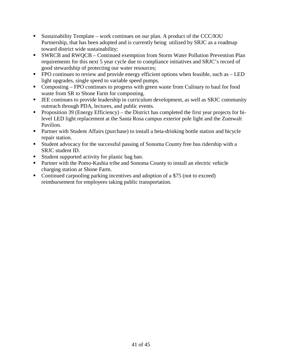- Sustainability Template work continues on our plan. A product of the CCC/IOU Partnership, that has been adopted and is currently being utilized by SRJC as a roadmap toward district wide sustainability;
- SWRCB and RWQCB Continued exemption from Storm Water Pollution Prevention Plan requirements for this next 5 year cycle due to compliance initiatives and SRJC's record of good stewardship of protecting our water resources;
- $\blacksquare$  FPO continues to review and provide energy efficient options when feasible, such as  $\blacksquare$ light upgrades, single speed to variable speed pumps.
- Composting FPO continues to progress with green waste from Culinary to haul for food waste from SR to Shone Farm for composting.
- **EXECUTE:** IEE continues to provide leadership in curriculum development, as well as SRJC community outreach through PDA, lectures, and public events.
- **Proposition 39 (Energy Efficiency)** the District has completed the first year projects for bilevel LED light replacement at the Santa Rosa campus exterior pole light and the Zumwalt Pavilion.
- **Partner with Student Affairs (purchase) to install a beta-drinking bottle station and bicycle** repair station.
- Student advocacy for the successful passing of Sonoma County free bus ridership with a SRJC student ID.
- Student supported activity for plastic bag ban.
- **Partner with the Pomo-Kashia tribe and Sonoma County to install an electric vehicle** charging station at Shone Farm.
- Continued carpooling parking incentives and adoption of a \$75 (not to exceed) reimbursement for employees taking public transportation.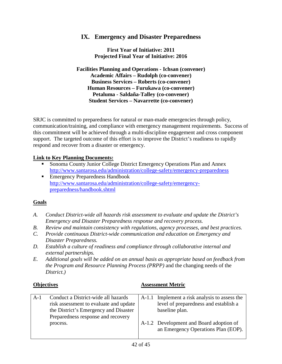# **IX. Emergency and Disaster Preparedness**

**First Year of Initiative: 2011 Projected Final Year of Initiative: 2016**

**Facilities Planning and Operations - Ichsan (convener) Academic Affairs – Rudolph (co-convener) Business Services – Roberts (co-convener) Human Resources – Furukawa (co-convener) Petaluma - Saldaña-Talley (co-convener) Student Services – Navarrette (co-convener)**

SRJC is committed to preparedness for natural or man-made emergencies through policy, communication/training, and compliance with emergency management requirements. Success of this commitment will be achieved through a multi-discipline engagement and cross component support. The targeted outcome of this effort is to improve the District's readiness to rapidly respond and recover from a disaster or emergency.

#### **Link to Key Planning Documents:**

- Sonoma County Junior College District Emergency Operations Plan and Annex <http://www.santarosa.edu/administration/college-safety/emergency-preparedness>
- Emergency Preparedness Handbook [http://www.santarosa.edu/administration/college-safety/emergency](http://www.santarosa.edu/administration/college-safety/emergency-preparedness/handbook.shtml)[preparedness/handbook.shtml](http://www.santarosa.edu/administration/college-safety/emergency-preparedness/handbook.shtml)

#### **Goals**

- *A. Conduct District-wide all hazards risk assessment to evaluate and update the District's Emergency and Disaster Preparedness response and recovery process.*
- *B. Review and maintain consistency with regulations, agency processes, and best practices.*
- *C. Provide continuous District-wide communication and education on Emergency and Disaster Preparedness.*
- *D. Establish a culture of readiness and compliance through collaborative internal and external partnerships.*
- *E. Additional goals will be added on an annual basis as appropriate based on feedback from the Program and Resource Planning Process (PRPP)* and the changing needs of the *District.)*

#### **Objectives Assessment Metric**

| $A-1$ | Conduct a District-wide all hazards    | A-1.1 Implement a risk analysis to assess the |
|-------|----------------------------------------|-----------------------------------------------|
|       | risk assessment to evaluate and update | level of preparedness and establish a         |
|       | the District's Emergency and Disaster  | baseline plan.                                |
|       | Preparedness response and recovery     |                                               |
|       | process.                               | A-1.2 Development and Board adoption of       |
|       |                                        | an Emergency Operations Plan (EOP).           |
|       |                                        |                                               |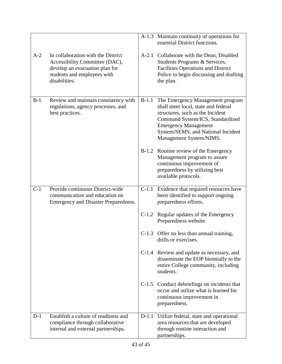|       |                                                                                                                                                        |         | A-1.3 Maintain continuity of operations for<br>essential District functions.                                                                                                                                                                    |
|-------|--------------------------------------------------------------------------------------------------------------------------------------------------------|---------|-------------------------------------------------------------------------------------------------------------------------------------------------------------------------------------------------------------------------------------------------|
| $A-2$ | In collaboration with the District<br>Accessibility Committee (DAC),<br>develop an evacuation plan for<br>students and employees with<br>disabilities. |         | A-2.1 Collaborate with the Dean, Disabled<br>Students Programs & Services,<br>Facilities Operations and District<br>Police to begin discussing and drafting<br>the plan.                                                                        |
| $B-1$ | Review and maintain consistency with<br>regulations, agency processes, and<br>best practices.                                                          | $B-1.1$ | The Emergency Management program<br>shall meet local, state and federal<br>structures, such as the Incident<br>Command System/ICS, Standardized<br><b>Emergency Management</b><br>System/SEMS, and National Incident<br>Management System/NIMS. |
|       |                                                                                                                                                        |         | B-1.2 Routine review of the Emergency<br>Management program to assure<br>continuous improvement of<br>preparedness by utilizing best<br>available protocols.                                                                                    |
| $C-1$ | Provide continuous District-wide<br>communication and education on<br>Emergency and Disaster Preparedness.                                             | $C-1.1$ | Evidence that required resources have<br>been identified to support ongoing<br>preparedness efforts.                                                                                                                                            |
|       |                                                                                                                                                        | $C-1.2$ | Regular updates of the Emergency<br>Preparedness website.                                                                                                                                                                                       |
|       |                                                                                                                                                        |         | C-1.3 Offer no less than annual training,<br>drills or exercises.                                                                                                                                                                               |
|       |                                                                                                                                                        |         | C-1.4 Review and update as necessary, and<br>disseminate the EOP biennially to the<br>entire College community, including<br>students.                                                                                                          |
|       |                                                                                                                                                        |         | C-1.5 Conduct debriefings on incidents that<br>occur and utilize what is learned for<br>continuous improvement in<br>preparedness.                                                                                                              |
| $D-1$ | Establish a culture of readiness and<br>compliance through collaborative<br>internal and external partnerships.                                        | $D-1.1$ | Utilize federal, state and operational<br>area resources that are developed<br>through routine interaction and<br>partnerships.                                                                                                                 |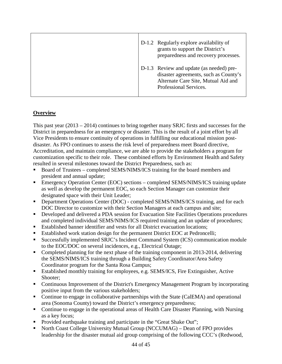| D-1.2 Regularly explore availability of<br>grants to support the District's<br>preparedness and recovery processes.                                |
|----------------------------------------------------------------------------------------------------------------------------------------------------|
| D-1.3 Review and update (as needed) pre-<br>disaster agreements, such as County's<br>Alternate Care Site, Mutual Aid and<br>Professional Services. |

### **Overview**

This past year (2013 – 2014) continues to bring together many SRJC firsts and successes for the District in preparedness for an emergency or disaster. This is the result of a joint effort by all Vice Presidents to ensure continuity of operations in fulfilling our educational mission postdisaster. As FPO continues to assess the risk level of preparedness meet Board directive, Accreditation, and maintain compliance, we are able to provide the stakeholders a program for customization specific to their role. These combined efforts by Environment Health and Safety resulted in several milestones toward the District Preparedness, such as:

- Board of Trustees completed SEMS/NIMS/ICS training for the board members and president and annual update;
- Emergency Operation Center (EOC) sections completed SEMS/NIMS/ICS training update as well as develop the permanent EOC, so each Section Manager can customize their designated space with their Unit Leader;
- **Department Operations Center (DOC) completed SEMS/NIMS/ICS training, and for each** DOC Director to customize with their Section Managers at each campus and site;
- Developed and delivered a PDA session for Evacuation Site Facilities Operations procedures and completed individual SEMS/NIMS/ICS required training and an update of procedures;
- Established banner identifier and vests for all District evacuation locations;
- Established work station design for the permanent District EOC at Pedroncelli;
- Successfully implemented SRJC's Incident Command System (ICS) communication module to the EOC/DOC on several incidences, e.g., Electrical Outage;
- Completed planning for the next phase of the training component in 2013-2014, delivering the SEMS/NIMS/ICS training through a Building Safety Coordinator/Area Safety Coordinator program for the Santa Rosa Campus;
- Established monthly training for employees, e.g. SEMS/ICS, Fire Extinguisher, Active Shooter;
- Continuous Improvement of the District's Emergency Management Program by incorporating positive input from the various stakeholders;
- Continue to engage in collaborative partnerships with the State (CalEMA) and operational area (Sonoma County) toward the District's emergency preparedness;
- Continue to engage in the operational areas of Health Care Disaster Planning, with Nursing as a key focus;
- Provided earthquake training and participate in the "Great Shake Out";
- North Coast College University Mutual Group (NCCUMAG) Dean of FPO provides leadership for the disaster mutual aid group comprising of the following CCC's (Redwood,